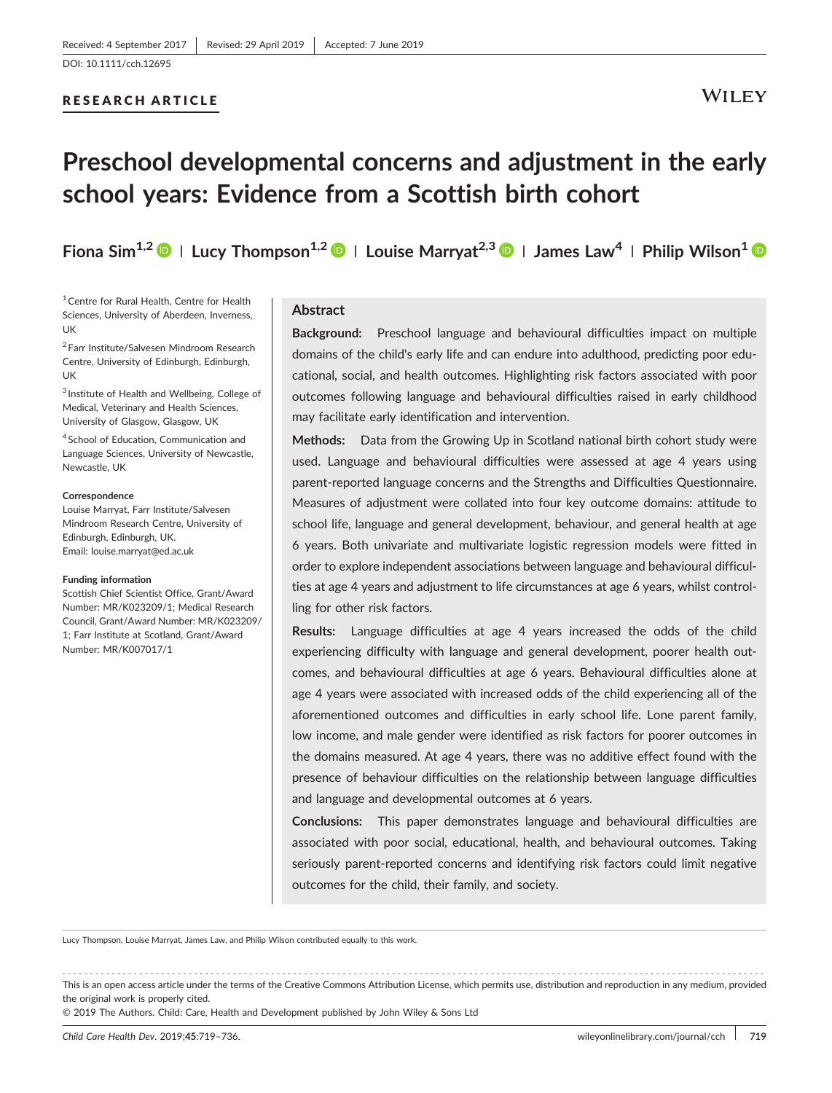#### RESEARCH ARTICLE

# **Preschool developmental concerns and adjustment in the early school years: Evidence from a Scottish birth cohort**

**Fiona Sim1,2 <sup>|</sup> Lucy Thompson1,2 <sup>|</sup> Louise Marryat2,3 <sup>|</sup> James Law4 <sup>|</sup> Philip Wilson1**

<sup>1</sup> Centre for Rural Health, Centre for Health Sciences, University of Aberdeen, Inverness, UK

<sup>2</sup> Farr Institute/Salvesen Mindroom Research Centre, University of Edinburgh, Edinburgh, UK

<sup>3</sup> Institute of Health and Wellbeing, College of Medical, Veterinary and Health Sciences, University of Glasgow, Glasgow, UK

<sup>4</sup> School of Education, Communication and Language Sciences, University of Newcastle, Newcastle, UK

#### **Correspondence**

Louise Marryat, Farr Institute/Salvesen Mindroom Research Centre, University of Edinburgh, Edinburgh, UK. Email: louise.marryat@ed.ac.uk

#### **Funding information**

Scottish Chief Scientist Office, Grant/Award Number: MR/K023209/1; Medical Research Council, Grant/Award Number: MR/K023209/ 1; Farr Institute at Scotland, Grant/Award Number: MR/K007017/1

### **Abstract**

**Background:** Preschool language and behavioural difficulties impact on multiple domains of the child's early life and can endure into adulthood, predicting poor educational, social, and health outcomes. Highlighting risk factors associated with poor outcomes following language and behavioural difficulties raised in early childhood may facilitate early identification and intervention.

**Methods:** Data from the Growing Up in Scotland national birth cohort study were used. Language and behavioural difficulties were assessed at age 4 years using parent‐reported language concerns and the Strengths and Difficulties Questionnaire. Measures of adjustment were collated into four key outcome domains: attitude to school life, language and general development, behaviour, and general health at age 6 years. Both univariate and multivariate logistic regression models were fitted in order to explore independent associations between language and behavioural difficulties at age 4 years and adjustment to life circumstances at age 6 years, whilst controlling for other risk factors.

**Results:** Language difficulties at age 4 years increased the odds of the child experiencing difficulty with language and general development, poorer health outcomes, and behavioural difficulties at age 6 years. Behavioural difficulties alone at age 4 years were associated with increased odds of the child experiencing all of the aforementioned outcomes and difficulties in early school life. Lone parent family, low income, and male gender were identified as risk factors for poorer outcomes in the domains measured. At age 4 years, there was no additive effect found with the presence of behaviour difficulties on the relationship between language difficulties and language and developmental outcomes at 6 years.

**Conclusions:** This paper demonstrates language and behavioural difficulties are associated with poor social, educational, health, and behavioural outcomes. Taking seriously parent‐reported concerns and identifying risk factors could limit negative outcomes for the child, their family, and society.

Lucy Thompson, Louise Marryat, James Law, and Philip Wilson contributed equally to this work.

------------------------------------------------------------------------------------------------------------------------------- - This is an open access article under the terms of the [Creative Commons Attribution](http://creativecommons.org/licenses/by/4.0/) License, which permits use, distribution and reproduction in any medium, provided the original work is properly cited.

© 2019 The Authors. Child: Care, Health and Development published by John Wiley & Sons Ltd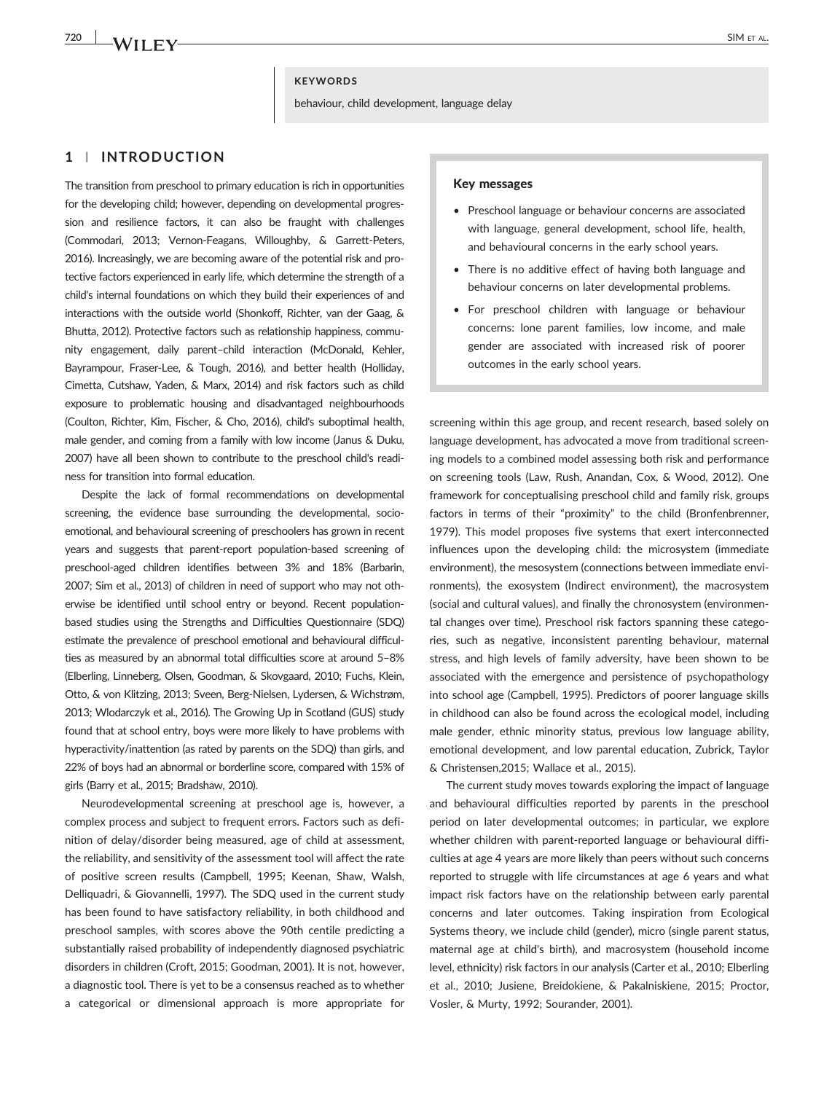**720 IXA/TT IT V/** 

#### **KEYWORDS**

behaviour, child development, language delay

### **1** | **INTRODUCTION**

The transition from preschool to primary education is rich in opportunities for the developing child; however, depending on developmental progression and resilience factors, it can also be fraught with challenges (Commodari, 2013; Vernon‐Feagans, Willoughby, & Garrett‐Peters, 2016). Increasingly, we are becoming aware of the potential risk and protective factors experienced in early life, which determine the strength of a child's internal foundations on which they build their experiences of and interactions with the outside world (Shonkoff, Richter, van der Gaag, & Bhutta, 2012). Protective factors such as relationship happiness, community engagement, daily parent–child interaction (McDonald, Kehler, Bayrampour, Fraser-Lee, & Tough, 2016), and better health (Holliday, Cimetta, Cutshaw, Yaden, & Marx, 2014) and risk factors such as child exposure to problematic housing and disadvantaged neighbourhoods (Coulton, Richter, Kim, Fischer, & Cho, 2016), child's suboptimal health, male gender, and coming from a family with low income (Janus & Duku, 2007) have all been shown to contribute to the preschool child's readiness for transition into formal education.

Despite the lack of formal recommendations on developmental screening, the evidence base surrounding the developmental, socioemotional, and behavioural screening of preschoolers has grown in recent years and suggests that parent‐report population‐based screening of preschool‐aged children identifies between 3% and 18% (Barbarin, 2007; Sim et al., 2013) of children in need of support who may not otherwise be identified until school entry or beyond. Recent populationbased studies using the Strengths and Difficulties Questionnaire (SDQ) estimate the prevalence of preschool emotional and behavioural difficulties as measured by an abnormal total difficulties score at around 5–8% (Elberling, Linneberg, Olsen, Goodman, & Skovgaard, 2010; Fuchs, Klein, Otto, & von Klitzing, 2013; Sveen, Berg‐Nielsen, Lydersen, & Wichstrøm, 2013; Wlodarczyk et al., 2016). The Growing Up in Scotland (GUS) study found that at school entry, boys were more likely to have problems with hyperactivity/inattention (as rated by parents on the SDQ) than girls, and 22% of boys had an abnormal or borderline score, compared with 15% of girls (Barry et al., 2015; Bradshaw, 2010).

Neurodevelopmental screening at preschool age is, however, a complex process and subject to frequent errors. Factors such as definition of delay/disorder being measured, age of child at assessment, the reliability, and sensitivity of the assessment tool will affect the rate of positive screen results (Campbell, 1995; Keenan, Shaw, Walsh, Delliquadri, & Giovannelli, 1997). The SDQ used in the current study has been found to have satisfactory reliability, in both childhood and preschool samples, with scores above the 90th centile predicting a substantially raised probability of independently diagnosed psychiatric disorders in children (Croft, 2015; Goodman, 2001). It is not, however, a diagnostic tool. There is yet to be a consensus reached as to whether a categorical or dimensional approach is more appropriate for

# Key messages

- Preschool language or behaviour concerns are associated with language, general development, school life, health, and behavioural concerns in the early school years.
- There is no additive effect of having both language and behaviour concerns on later developmental problems.
- For preschool children with language or behaviour concerns: lone parent families, low income, and male gender are associated with increased risk of poorer outcomes in the early school years.

screening within this age group, and recent research, based solely on language development, has advocated a move from traditional screening models to a combined model assessing both risk and performance on screening tools (Law, Rush, Anandan, Cox, & Wood, 2012). One framework for conceptualising preschool child and family risk, groups factors in terms of their "proximity" to the child (Bronfenbrenner, 1979). This model proposes five systems that exert interconnected influences upon the developing child: the microsystem (immediate environment), the mesosystem (connections between immediate environments), the exosystem (Indirect environment), the macrosystem (social and cultural values), and finally the chronosystem (environmental changes over time). Preschool risk factors spanning these categories, such as negative, inconsistent parenting behaviour, maternal stress, and high levels of family adversity, have been shown to be associated with the emergence and persistence of psychopathology into school age (Campbell, 1995). Predictors of poorer language skills in childhood can also be found across the ecological model, including male gender, ethnic minority status, previous low language ability, emotional development, and low parental education, Zubrick, Taylor & Christensen,2015; Wallace et al., 2015).

The current study moves towards exploring the impact of language and behavioural difficulties reported by parents in the preschool period on later developmental outcomes; in particular, we explore whether children with parent-reported language or behavioural difficulties at age 4 years are more likely than peers without such concerns reported to struggle with life circumstances at age 6 years and what impact risk factors have on the relationship between early parental concerns and later outcomes. Taking inspiration from Ecological Systems theory, we include child (gender), micro (single parent status, maternal age at child's birth), and macrosystem (household income level, ethnicity) risk factors in our analysis (Carter et al., 2010; Elberling et al., 2010; Jusiene, Breidokiene, & Pakalniskiene, 2015; Proctor, Vosler, & Murty, 1992; Sourander, 2001).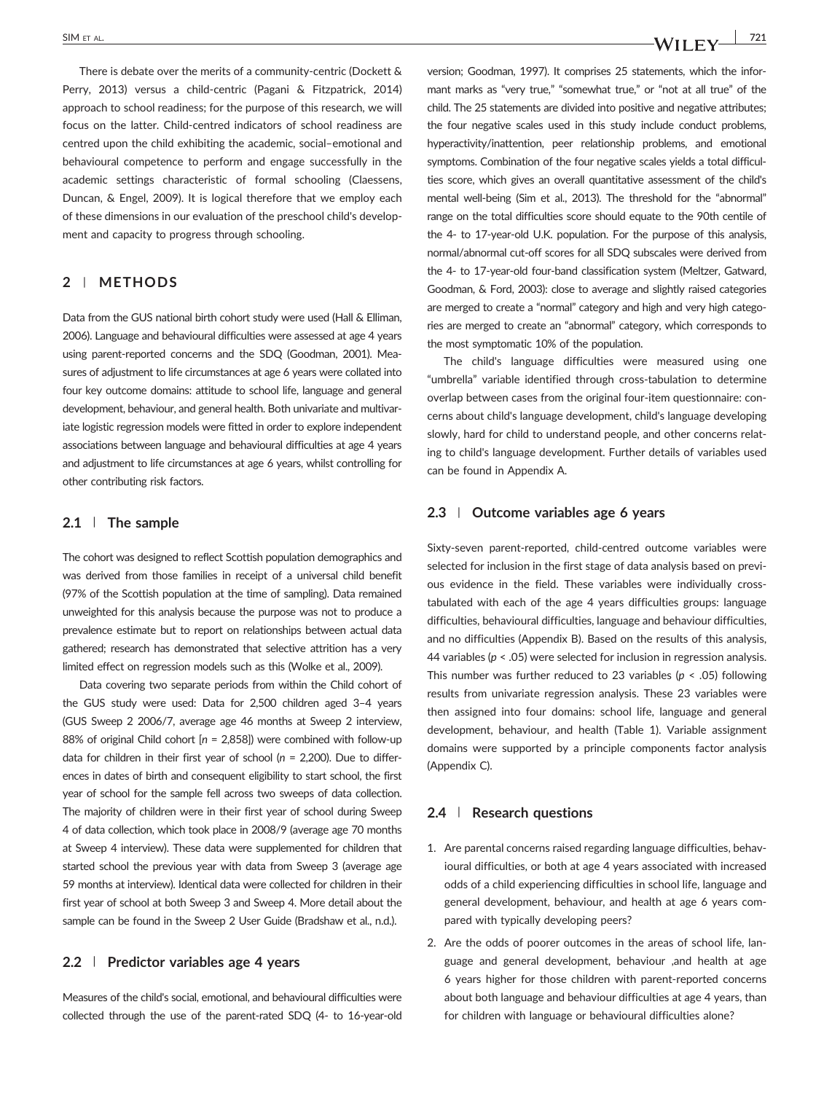**SIM ET AL.** *N* **I I F V I F V I F V I F V I F V** 

There is debate over the merits of a community-centric (Dockett & Perry, 2013) versus a child‐centric (Pagani & Fitzpatrick, 2014) approach to school readiness; for the purpose of this research, we will focus on the latter. Child‐centred indicators of school readiness are centred upon the child exhibiting the academic, social–emotional and behavioural competence to perform and engage successfully in the academic settings characteristic of formal schooling (Claessens, Duncan, & Engel, 2009). It is logical therefore that we employ each of these dimensions in our evaluation of the preschool child's development and capacity to progress through schooling.

# **2** | **METHODS**

Data from the GUS national birth cohort study were used (Hall & Elliman, 2006). Language and behavioural difficulties were assessed at age 4 years using parent‐reported concerns and the SDQ (Goodman, 2001). Measures of adjustment to life circumstances at age 6 years were collated into four key outcome domains: attitude to school life, language and general development, behaviour, and general health. Both univariate and multivariate logistic regression models were fitted in order to explore independent associations between language and behavioural difficulties at age 4 years and adjustment to life circumstances at age 6 years, whilst controlling for other contributing risk factors.

#### **2.1** | **The sample**

The cohort was designed to reflect Scottish population demographics and was derived from those families in receipt of a universal child benefit (97% of the Scottish population at the time of sampling). Data remained unweighted for this analysis because the purpose was not to produce a prevalence estimate but to report on relationships between actual data gathered; research has demonstrated that selective attrition has a very limited effect on regression models such as this (Wolke et al., 2009).

Data covering two separate periods from within the Child cohort of the GUS study were used: Data for 2,500 children aged 3–4 years (GUS Sweep 2 2006/7, average age 46 months at Sweep 2 interview, 88% of original Child cohort [*n* = 2,858]) were combined with follow‐up data for children in their first year of school (*n* = 2,200). Due to differences in dates of birth and consequent eligibility to start school, the first year of school for the sample fell across two sweeps of data collection. The majority of children were in their first year of school during Sweep 4 of data collection, which took place in 2008/9 (average age 70 months at Sweep 4 interview). These data were supplemented for children that started school the previous year with data from Sweep 3 (average age 59 months at interview). Identical data were collected for children in their first year of school at both Sweep 3 and Sweep 4. More detail about the sample can be found in the Sweep 2 User Guide (Bradshaw et al., n.d.).

#### **2.2** | **Predictor variables age 4 years**

Measures of the child's social, emotional, and behavioural difficulties were collected through the use of the parent‐rated SDQ (4‐ to 16‐year‐old

version; Goodman, 1997). It comprises 25 statements, which the informant marks as "very true," "somewhat true," or "not at all true" of the child. The 25 statements are divided into positive and negative attributes; the four negative scales used in this study include conduct problems, hyperactivity/inattention, peer relationship problems, and emotional symptoms. Combination of the four negative scales yields a total difficulties score, which gives an overall quantitative assessment of the child's mental well-being (Sim et al., 2013). The threshold for the "abnormal" range on the total difficulties score should equate to the 90th centile of the 4‐ to 17‐year‐old U.K. population. For the purpose of this analysis, normal/abnormal cut‐off scores for all SDQ subscales were derived from the 4‐ to 17‐year‐old four‐band classification system (Meltzer, Gatward, Goodman, & Ford, 2003): close to average and slightly raised categories are merged to create a "normal" category and high and very high categories are merged to create an "abnormal" category, which corresponds to the most symptomatic 10% of the population.

The child's language difficulties were measured using one "umbrella" variable identified through cross‐tabulation to determine overlap between cases from the original four‐item questionnaire: concerns about child's language development, child's language developing slowly, hard for child to understand people, and other concerns relating to child's language development. Further details of variables used can be found in Appendix A.

#### **2.3** | **Outcome variables age 6 years**

Sixty-seven parent-reported, child-centred outcome variables were selected for inclusion in the first stage of data analysis based on previous evidence in the field. These variables were individually crosstabulated with each of the age 4 years difficulties groups: language difficulties, behavioural difficulties, language and behaviour difficulties, and no difficulties (Appendix B). Based on the results of this analysis, 44 variables (*p* < .05) were selected for inclusion in regression analysis. This number was further reduced to 23 variables (*p* < .05) following results from univariate regression analysis. These 23 variables were then assigned into four domains: school life, language and general development, behaviour, and health (Table 1). Variable assignment domains were supported by a principle components factor analysis (Appendix C).

#### **2.4** | **Research questions**

- 1. Are parental concerns raised regarding language difficulties, behavioural difficulties, or both at age 4 years associated with increased odds of a child experiencing difficulties in school life, language and general development, behaviour, and health at age 6 years compared with typically developing peers?
- 2. Are the odds of poorer outcomes in the areas of school life, language and general development, behaviour ,and health at age 6 years higher for those children with parent‐reported concerns about both language and behaviour difficulties at age 4 years, than for children with language or behavioural difficulties alone?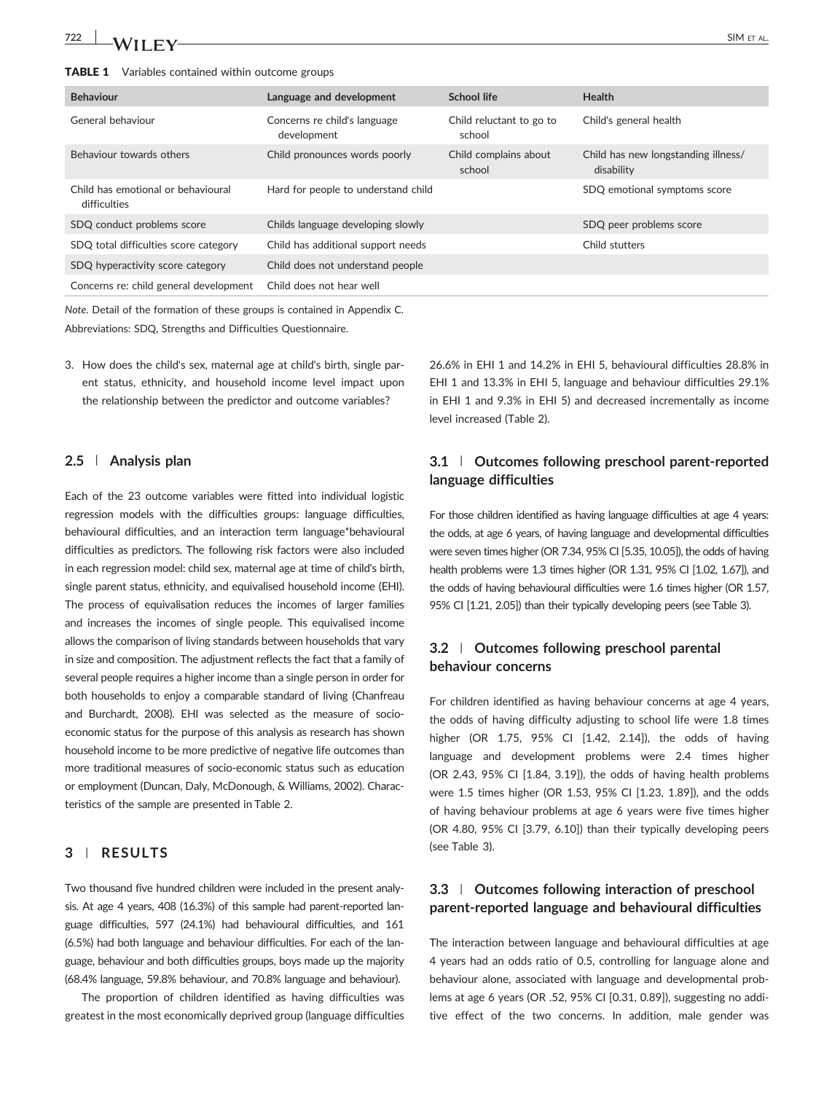| <b>Behaviour</b>                                   | Language and development                    | <b>School life</b>                 | <b>Health</b>                                     |
|----------------------------------------------------|---------------------------------------------|------------------------------------|---------------------------------------------------|
| General behaviour                                  | Concerns re child's language<br>development | Child reluctant to go to<br>school | Child's general health                            |
| Behaviour towards others                           | Child pronounces words poorly               | Child complains about<br>school    | Child has new longstanding illness/<br>disability |
| Child has emotional or behavioural<br>difficulties | Hard for people to understand child         |                                    | SDQ emotional symptoms score                      |
| SDQ conduct problems score                         | Childs language developing slowly           |                                    | SDQ peer problems score                           |
| SDQ total difficulties score category              | Child has additional support needs          |                                    | Child stutters                                    |
| SDQ hyperactivity score category                   | Child does not understand people            |                                    |                                                   |
| Concerns re: child general development             | Child does not hear well                    |                                    |                                                   |

*Note*. Detail of the formation of these groups is contained in Appendix C. Abbreviations: SDQ, Strengths and Difficulties Questionnaire.

3. How does the child's sex, maternal age at child's birth, single parent status, ethnicity, and household income level impact upon the relationship between the predictor and outcome variables?

#### **2.5** | **Analysis plan**

Each of the 23 outcome variables were fitted into individual logistic regression models with the difficulties groups: language difficulties, behavioural difficulties, and an interaction term language\*behavioural difficulties as predictors. The following risk factors were also included in each regression model: child sex, maternal age at time of child's birth, single parent status, ethnicity, and equivalised household income (EHI). The process of equivalisation reduces the incomes of larger families and increases the incomes of single people. This equivalised income allows the comparison of living standards between households that vary in size and composition. The adjustment reflects the fact that a family of several people requires a higher income than a single person in order for both households to enjoy a comparable standard of living (Chanfreau and Burchardt, 2008). EHI was selected as the measure of socioeconomic status for the purpose of this analysis as research has shown household income to be more predictive of negative life outcomes than more traditional measures of socio‐economic status such as education or employment (Duncan, Daly, McDonough, & Williams, 2002). Characteristics of the sample are presented in Table 2.

#### **3** | **RESULTS**

Two thousand five hundred children were included in the present analysis. At age 4 years, 408 (16.3%) of this sample had parent-reported language difficulties, 597 (24.1%) had behavioural difficulties, and 161 (6.5%) had both language and behaviour difficulties. For each of the language, behaviour and both difficulties groups, boys made up the majority (68.4% language, 59.8% behaviour, and 70.8% language and behaviour).

The proportion of children identified as having difficulties was greatest in the most economically deprived group (language difficulties

26.6% in EHI 1 and 14.2% in EHI 5, behavioural difficulties 28.8% in EHI 1 and 13.3% in EHI 5, language and behaviour difficulties 29.1% in EHI 1 and 9.3% in EHI 5) and decreased incrementally as income level increased (Table 2).

## **3.1** | **Outcomes following preschool parent‐reported language difficulties**

For those children identified as having language difficulties at age 4 years: the odds, at age 6 years, of having language and developmental difficulties were seven times higher (OR 7.34, 95% CI [5.35, 10.05]), the odds of having health problems were 1.3 times higher (OR 1.31, 95% CI [1.02, 1.67]), and the odds of having behavioural difficulties were 1.6 times higher (OR 1.57, 95% CI [1.21, 2.05]) than their typically developing peers (see Table 3).

### **3.2** | **Outcomes following preschool parental behaviour concerns**

For children identified as having behaviour concerns at age 4 years, the odds of having difficulty adjusting to school life were 1.8 times higher (OR 1.75, 95% CI [1.42, 2.14]), the odds of having language and development problems were 2.4 times higher (OR 2.43, 95% CI [1.84, 3.19]), the odds of having health problems were 1.5 times higher (OR 1.53, 95% CI [1.23, 1.89]), and the odds of having behaviour problems at age 6 years were five times higher (OR 4.80, 95% CI [3.79, 6.10]) than their typically developing peers (see Table 3).

## **3.3** | **Outcomes following interaction of preschool parent‐reported language and behavioural difficulties**

The interaction between language and behavioural difficulties at age 4 years had an odds ratio of 0.5, controlling for language alone and behaviour alone, associated with language and developmental problems at age 6 years (OR .52, 95% CI [0.31, 0.89]), suggesting no additive effect of the two concerns. In addition, male gender was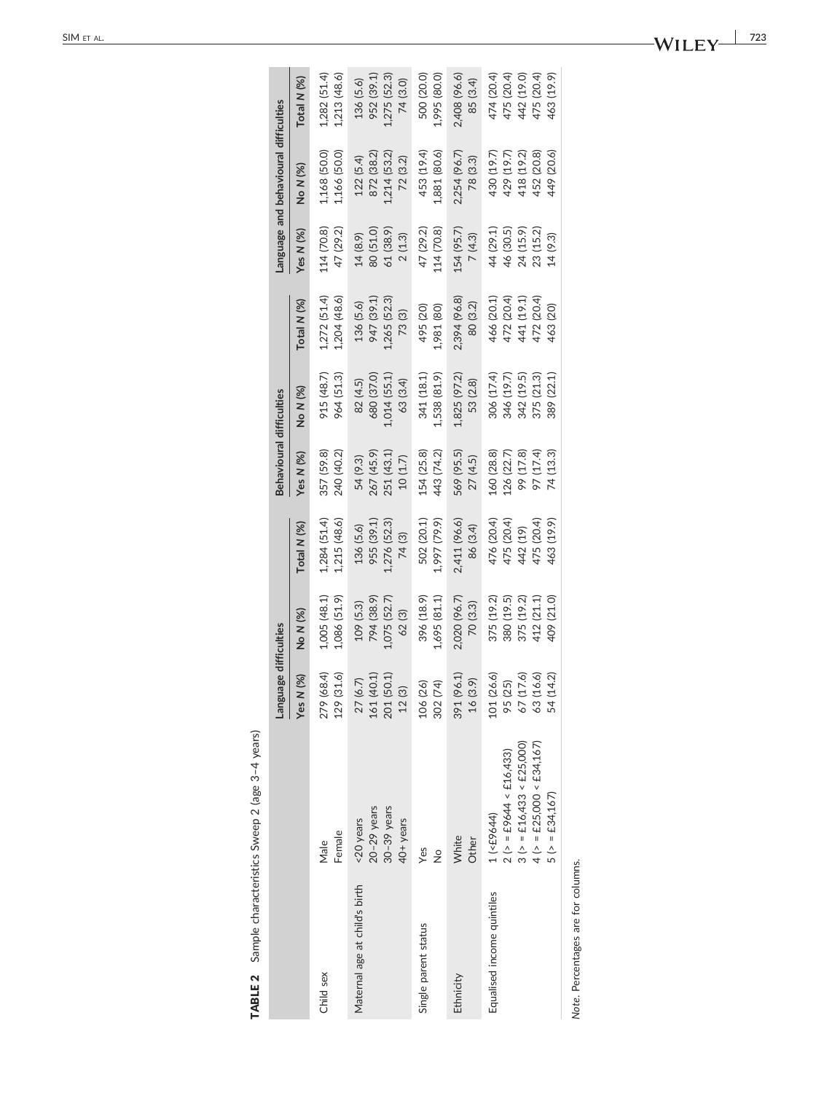|                               |                                                                                                                            | Language difficulties                                        |                                                                    |                                                                  | Behavioural difficulties                                        |                                                                    |                                                                  |                                                              | anguage and behavioural difficulties                               |                                                                    |
|-------------------------------|----------------------------------------------------------------------------------------------------------------------------|--------------------------------------------------------------|--------------------------------------------------------------------|------------------------------------------------------------------|-----------------------------------------------------------------|--------------------------------------------------------------------|------------------------------------------------------------------|--------------------------------------------------------------|--------------------------------------------------------------------|--------------------------------------------------------------------|
|                               |                                                                                                                            | (%)<br><b>Yes N</b>                                          | No N (%)                                                           | Total N (%)                                                      | Yes N (%)                                                       | No N (%)                                                           | Total N (%)                                                      | Yes N $(%)$                                                  | No N (%)                                                           | Total N (%)                                                        |
| Child sex                     | Female                                                                                                                     | 279 (68.4)                                                   | LOO5 (48.1)                                                        | 1.284(51.4)                                                      | 357 (59.8)                                                      | 915 (48.7)                                                         | 1.272(51.4)                                                      | 114 (70.8)                                                   | 1,168 (50.0)                                                       | $1,282$ (51.4)                                                     |
|                               | Male                                                                                                                       | 129 (31.6)                                                   | 1,086 (51.9)                                                       | 1,215(48.6)                                                      | 240 (40.2)                                                      | 964 (51.3)                                                         | .204(48.6)                                                       | 47 (29.2)                                                    | 1,166 (50.0)                                                       | 1,213(48.6)                                                        |
| Maternal age at child's birth | $20-29$ years                                                                                                              | 161 (40.1)                                                   | 794 (38.9)                                                         | 1,276 (52.3)                                                     | 267 (45.9)                                                      | 680 (37.0)                                                         | 947 (39.1)                                                       | 80 (51.0)                                                    | 872 (38.2)                                                         | 952 (39.1)                                                         |
|                               | $30-39$ years                                                                                                              | 201 (50.1)                                                   | 1,075 (52.7)                                                       | 955 (39.1)                                                       | 251 (43.1)                                                      | 1,014 (55.1)                                                       | 1,265 (52.3)                                                     | 61 (38.9)                                                    | 1,214 (53.2)                                                       | 1,275 (52.3)                                                       |
|                               | <20 years                                                                                                                  | 27 (6.7)                                                     | 109 (5.3)                                                          | 136(5.6)                                                         | 54 (9.3)                                                        | 82 (4.5)                                                           | 136 (5.6)                                                        | 14(8.9)                                                      | 122 (5.4)                                                          | 136 (5.6)                                                          |
|                               | 40+ years                                                                                                                  | 12(3)                                                        | 62 (3)                                                             | 74 (3)                                                           | 10(1.7)                                                         | 63 (3.4)                                                           | 73(3)                                                            | 2(1.3)                                                       | 72 (3.2)                                                           | 74 (3.0)                                                           |
| Single parent status          | Yes                                                                                                                        | 302 (74)                                                     | 396 (18.9)                                                         | 1,997 (79.9)                                                     | 443 (74.2)                                                      | 341 (18.1)                                                         | 495 (20)                                                         | 114 (70.8)                                                   | 453 (19.4)                                                         | 1,995 (80.0)                                                       |
|                               | $\frac{1}{2}$                                                                                                              | 106 (26)                                                     | 1,695 (81.1)                                                       | 502 (20.1)                                                       | L54 (25.8)                                                      | 1,538 (81.9)                                                       | 1,981 (80)                                                       | 47 (29.2)                                                    | 1,881 (80.6)                                                       | 500 (20.0)                                                         |
| Ethnicity                     | White                                                                                                                      | 391 (96.1)                                                   | 2,020 (96.7)                                                       | 2,411 (96.6)                                                     | 569 (95.5)                                                      | 1,825 (97.2)                                                       | 2,394 (96.8)                                                     | 154 (95.7)                                                   | 2,254 (96.7)                                                       | 2,408 (96.6)                                                       |
|                               | Other                                                                                                                      | 16(3.9)                                                      | 70 (3.3)                                                           | 86 (3.4)                                                         | 27(4.5)                                                         | 53 (2.8)                                                           | 80 (3.2)                                                         | 7(4.3)                                                       | 78 (3.3)                                                           | 85 (3.4)                                                           |
| Equalised income quintiles    | $4$ (> = £25,000 < £34,167)<br>$3 (> = £16,433 < £25,000)$<br>$2 (> = £9644 < £16,433)$<br>$5 (> = £34,167)$<br>1 (<£9644) | 101 (26.6)<br>95 (25)<br>67 (17.6)<br>63 (16.6)<br>54 (14.2) | 380 (19.5)<br>375 (19.2)<br>375 (19.2)<br>412 (21.1)<br>409 (21.0) | 476 (20.4)<br>475 (20.4)<br>475 (20.4)<br>463 (19.9)<br>442 (19) | l60 (28.8)<br>97 (17.4)<br>99 (17.8)<br>74 (13.3)<br>126 (22.7) | 346 (19.7)<br>375 (21.3)<br>306 (17.4)<br>342 (19.5)<br>389 (22.1) | 466 (20.1)<br>472 (20.4)<br>441 (19.1)<br>472 (20.4)<br>463 (20) | 24 (15.9)<br>44 (29.1)<br>46 (30.5)<br>23 (15.2)<br>14 (9.3) | 452 (20.8)<br>430 (19.7)<br>418 (19.2)<br>449 (20.6)<br>429 (19.7) | 463 (19.9)<br>474 (20.4)<br>475 (20.4)<br>442 (19.0)<br>475 (20.4) |

TABLE 2 Sample characteristics Sweep 2 (age 3-4 years) **TABLE 2** Sample characteristics Sweep 2 (age  $3-4$  years)

Note. Percentages are for columns. *Note*. Percentages are for columns.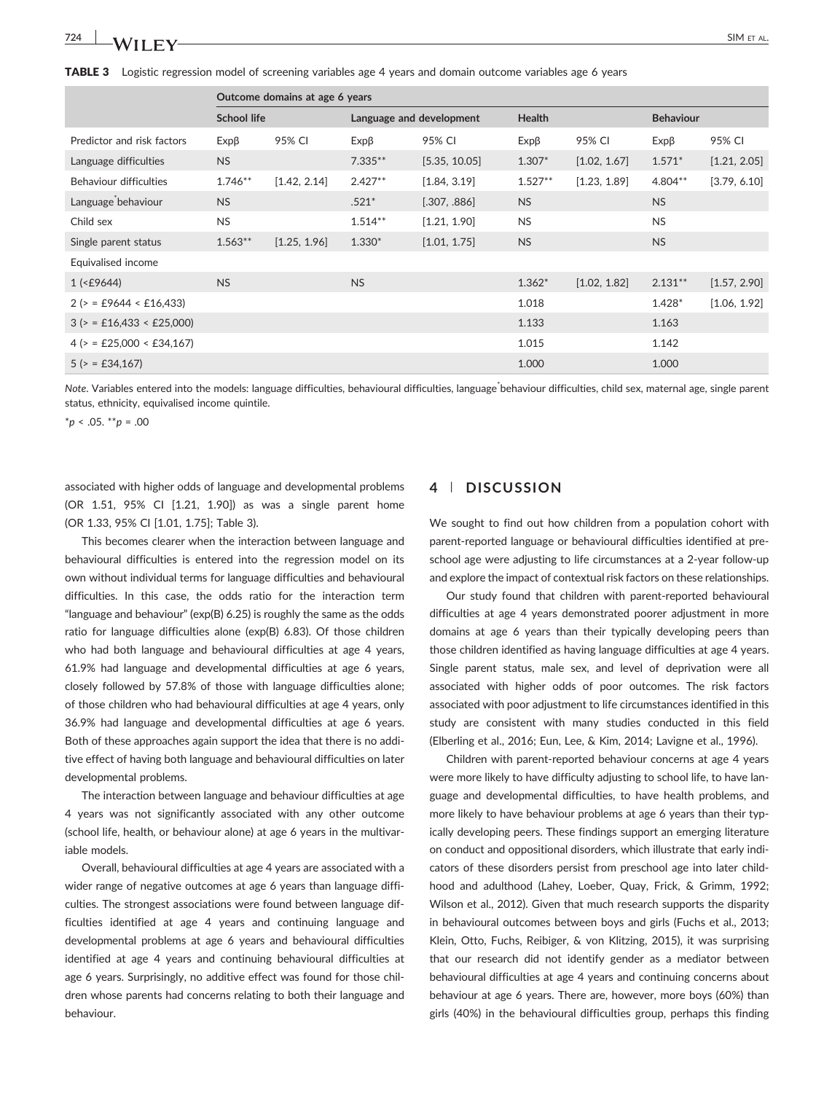**TABLE 3** Logistic regression model of screening variables age 4 years and domain outcome variables age 6 years

|                                |                    | Outcome domains at age 6 years |                          |               |               |              |                  |              |
|--------------------------------|--------------------|--------------------------------|--------------------------|---------------|---------------|--------------|------------------|--------------|
|                                | <b>School life</b> |                                | Language and development |               | <b>Health</b> |              | <b>Behaviour</b> |              |
| Predictor and risk factors     | $Exp\beta$         | 95% CI                         | $Exp\beta$               | 95% CI        | $Exp\beta$    | 95% CI       | $Exp\beta$       | 95% CI       |
| Language difficulties          | <b>NS</b>          |                                | $7.335**$                | [5.35, 10.05] | $1.307*$      | [1.02, 1.67] | $1.571*$         | [1.21, 2.05] |
| <b>Behaviour difficulties</b>  | $1.746**$          | [1.42, 2.14]                   | $2.427**$                | [1.84, 3.19]  | $1.527**$     | [1.23, 1.89] | 4.804**          | [3.79, 6.10] |
| Language behaviour             | <b>NS</b>          |                                | $.521*$                  | [.307, .886]  | <b>NS</b>     |              | <b>NS</b>        |              |
| Child sex                      | <b>NS</b>          |                                | $1.514***$               | [1.21, 1.90]  | <b>NS</b>     |              | <b>NS</b>        |              |
| Single parent status           | $1.563**$          | [1.25, 1.96]                   | $1.330*$                 | [1.01, 1.75]  | <b>NS</b>     |              | <b>NS</b>        |              |
| Equivalised income             |                    |                                |                          |               |               |              |                  |              |
| $1$ (<£9644)                   | <b>NS</b>          |                                | <b>NS</b>                |               | $1.362*$      | [1.02, 1.82] | $2.131**$        | [1.57, 2.90] |
| $2 (= £9644 < £16,433)$        |                    |                                |                          |               | 1.018         |              | 1.428*           | [1.06, 1.92] |
| $3$ ( $>$ = £16,433 < £25,000) |                    |                                |                          |               | 1.133         |              | 1.163            |              |
| $4$ ( $>$ = £25,000 < £34,167) |                    |                                |                          |               | 1.015         |              | 1.142            |              |
| $5 (> = £34,167)$              |                    |                                |                          |               | 1.000         |              | 1.000            |              |

Note. Variables entered into the models: language difficulties, behavioural difficulties, language behaviour difficulties, child sex, maternal age, single parent status, ethnicity, equivalised income quintile.

\**p* < .05. \*\**p* = .00

associated with higher odds of language and developmental problems (OR 1.51, 95% CI [1.21, 1.90]) as was a single parent home (OR 1.33, 95% CI [1.01, 1.75]; Table 3).

This becomes clearer when the interaction between language and behavioural difficulties is entered into the regression model on its own without individual terms for language difficulties and behavioural difficulties. In this case, the odds ratio for the interaction term "language and behaviour" (exp(B) 6.25) is roughly the same as the odds ratio for language difficulties alone (exp(B) 6.83). Of those children who had both language and behavioural difficulties at age 4 years, 61.9% had language and developmental difficulties at age 6 years, closely followed by 57.8% of those with language difficulties alone; of those children who had behavioural difficulties at age 4 years, only 36.9% had language and developmental difficulties at age 6 years. Both of these approaches again support the idea that there is no additive effect of having both language and behavioural difficulties on later developmental problems.

The interaction between language and behaviour difficulties at age 4 years was not significantly associated with any other outcome (school life, health, or behaviour alone) at age 6 years in the multivariable models.

Overall, behavioural difficulties at age 4 years are associated with a wider range of negative outcomes at age 6 years than language difficulties. The strongest associations were found between language difficulties identified at age 4 years and continuing language and developmental problems at age 6 years and behavioural difficulties identified at age 4 years and continuing behavioural difficulties at age 6 years. Surprisingly, no additive effect was found for those children whose parents had concerns relating to both their language and behaviour.

#### **4** | **DISCUSSION**

We sought to find out how children from a population cohort with parent‐reported language or behavioural difficulties identified at preschool age were adjusting to life circumstances at a 2‐year follow‐up and explore the impact of contextual risk factors on these relationships.

Our study found that children with parent‐reported behavioural difficulties at age 4 years demonstrated poorer adjustment in more domains at age 6 years than their typically developing peers than those children identified as having language difficulties at age 4 years. Single parent status, male sex, and level of deprivation were all associated with higher odds of poor outcomes. The risk factors associated with poor adjustment to life circumstances identified in this study are consistent with many studies conducted in this field (Elberling et al., 2016; Eun, Lee, & Kim, 2014; Lavigne et al., 1996).

Children with parent‐reported behaviour concerns at age 4 years were more likely to have difficulty adjusting to school life, to have language and developmental difficulties, to have health problems, and more likely to have behaviour problems at age 6 years than their typically developing peers. These findings support an emerging literature on conduct and oppositional disorders, which illustrate that early indicators of these disorders persist from preschool age into later childhood and adulthood (Lahey, Loeber, Quay, Frick, & Grimm, 1992; Wilson et al., 2012). Given that much research supports the disparity in behavioural outcomes between boys and girls (Fuchs et al., 2013; Klein, Otto, Fuchs, Reibiger, & von Klitzing, 2015), it was surprising that our research did not identify gender as a mediator between behavioural difficulties at age 4 years and continuing concerns about behaviour at age 6 years. There are, however, more boys (60%) than girls (40%) in the behavioural difficulties group, perhaps this finding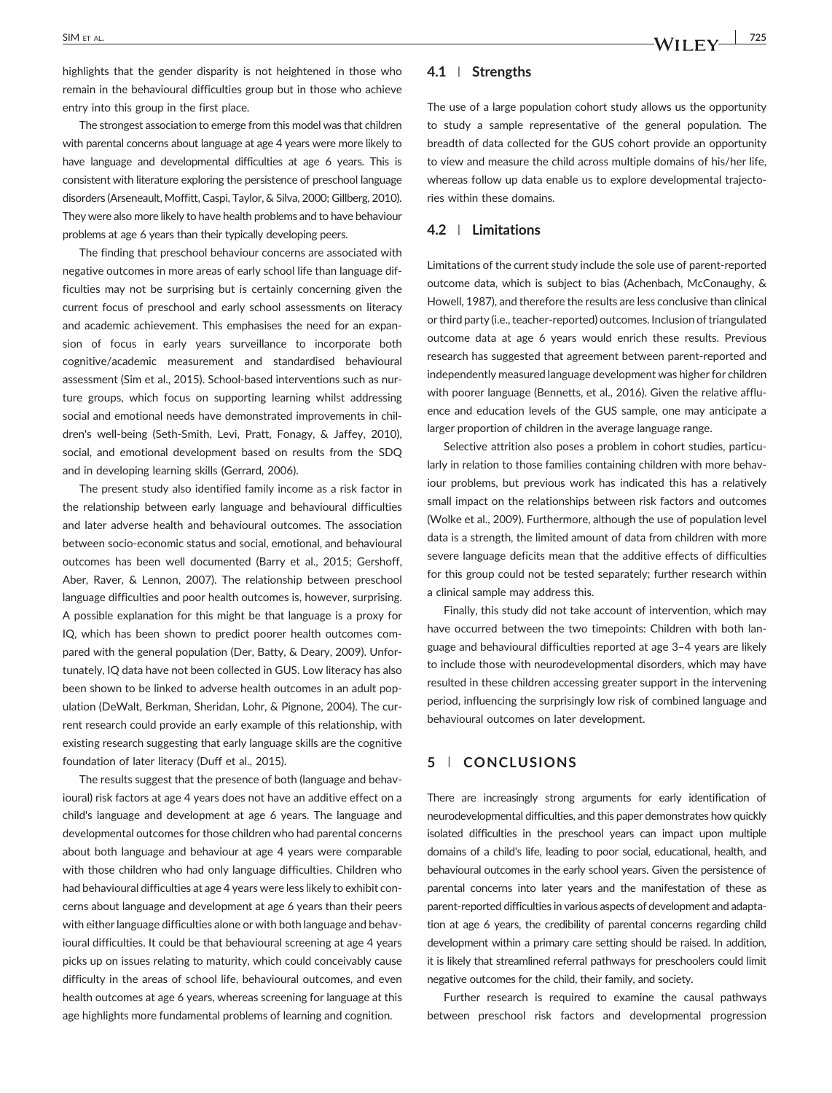highlights that the gender disparity is not heightened in those who remain in the behavioural difficulties group but in those who achieve entry into this group in the first place.

The strongest association to emerge from this model was that children with parental concerns about language at age 4 years were more likely to have language and developmental difficulties at age 6 years. This is consistent with literature exploring the persistence of preschool language disorders (Arseneault, Moffitt, Caspi, Taylor, & Silva, 2000; Gillberg, 2010). They were also more likely to have health problems and to have behaviour problems at age 6 years than their typically developing peers.

The finding that preschool behaviour concerns are associated with negative outcomes in more areas of early school life than language difficulties may not be surprising but is certainly concerning given the current focus of preschool and early school assessments on literacy and academic achievement. This emphasises the need for an expansion of focus in early years surveillance to incorporate both cognitive/academic measurement and standardised behavioural assessment (Sim et al., 2015). School‐based interventions such as nurture groups, which focus on supporting learning whilst addressing social and emotional needs have demonstrated improvements in children's well‐being (Seth‐Smith, Levi, Pratt, Fonagy, & Jaffey, 2010), social, and emotional development based on results from the SDQ and in developing learning skills (Gerrard, 2006).

The present study also identified family income as a risk factor in the relationship between early language and behavioural difficulties and later adverse health and behavioural outcomes. The association between socio‐economic status and social, emotional, and behavioural outcomes has been well documented (Barry et al., 2015; Gershoff, Aber, Raver, & Lennon, 2007). The relationship between preschool language difficulties and poor health outcomes is, however, surprising. A possible explanation for this might be that language is a proxy for IQ, which has been shown to predict poorer health outcomes compared with the general population (Der, Batty, & Deary, 2009). Unfortunately, IQ data have not been collected in GUS. Low literacy has also been shown to be linked to adverse health outcomes in an adult population (DeWalt, Berkman, Sheridan, Lohr, & Pignone, 2004). The current research could provide an early example of this relationship, with existing research suggesting that early language skills are the cognitive foundation of later literacy (Duff et al., 2015).

The results suggest that the presence of both (language and behavioural) risk factors at age 4 years does not have an additive effect on a child's language and development at age 6 years. The language and developmental outcomes for those children who had parental concerns about both language and behaviour at age 4 years were comparable with those children who had only language difficulties. Children who had behavioural difficulties at age 4 years were less likely to exhibit concerns about language and development at age 6 years than their peers with either language difficulties alone or with both language and behavioural difficulties. It could be that behavioural screening at age 4 years picks up on issues relating to maturity, which could conceivably cause difficulty in the areas of school life, behavioural outcomes, and even health outcomes at age 6 years, whereas screening for language at this age highlights more fundamental problems of learning and cognition.

#### **4.1** | **Strengths**

The use of a large population cohort study allows us the opportunity to study a sample representative of the general population. The breadth of data collected for the GUS cohort provide an opportunity to view and measure the child across multiple domains of his/her life, whereas follow up data enable us to explore developmental trajectories within these domains.

#### **4.2** | **Limitations**

Limitations of the current study include the sole use of parent‐reported outcome data, which is subject to bias (Achenbach, McConaughy, & Howell, 1987), and therefore the results are less conclusive than clinical or third party (i.e., teacher‐reported) outcomes. Inclusion of triangulated outcome data at age 6 years would enrich these results. Previous research has suggested that agreement between parent‐reported and independently measured language development was higher for children with poorer language (Bennetts, et al., 2016). Given the relative affluence and education levels of the GUS sample, one may anticipate a larger proportion of children in the average language range.

Selective attrition also poses a problem in cohort studies, particularly in relation to those families containing children with more behaviour problems, but previous work has indicated this has a relatively small impact on the relationships between risk factors and outcomes (Wolke et al., 2009). Furthermore, although the use of population level data is a strength, the limited amount of data from children with more severe language deficits mean that the additive effects of difficulties for this group could not be tested separately; further research within a clinical sample may address this.

Finally, this study did not take account of intervention, which may have occurred between the two timepoints: Children with both language and behavioural difficulties reported at age 3–4 years are likely to include those with neurodevelopmental disorders, which may have resulted in these children accessing greater support in the intervening period, influencing the surprisingly low risk of combined language and behavioural outcomes on later development.

#### **5** | **CONCLUSIONS**

There are increasingly strong arguments for early identification of neurodevelopmental difficulties, and this paper demonstrates how quickly isolated difficulties in the preschool years can impact upon multiple domains of a child's life, leading to poor social, educational, health, and behavioural outcomes in the early school years. Given the persistence of parental concerns into later years and the manifestation of these as parent-reported difficulties in various aspects of development and adaptation at age 6 years, the credibility of parental concerns regarding child development within a primary care setting should be raised. In addition, it is likely that streamlined referral pathways for preschoolers could limit negative outcomes for the child, their family, and society.

Further research is required to examine the causal pathways between preschool risk factors and developmental progression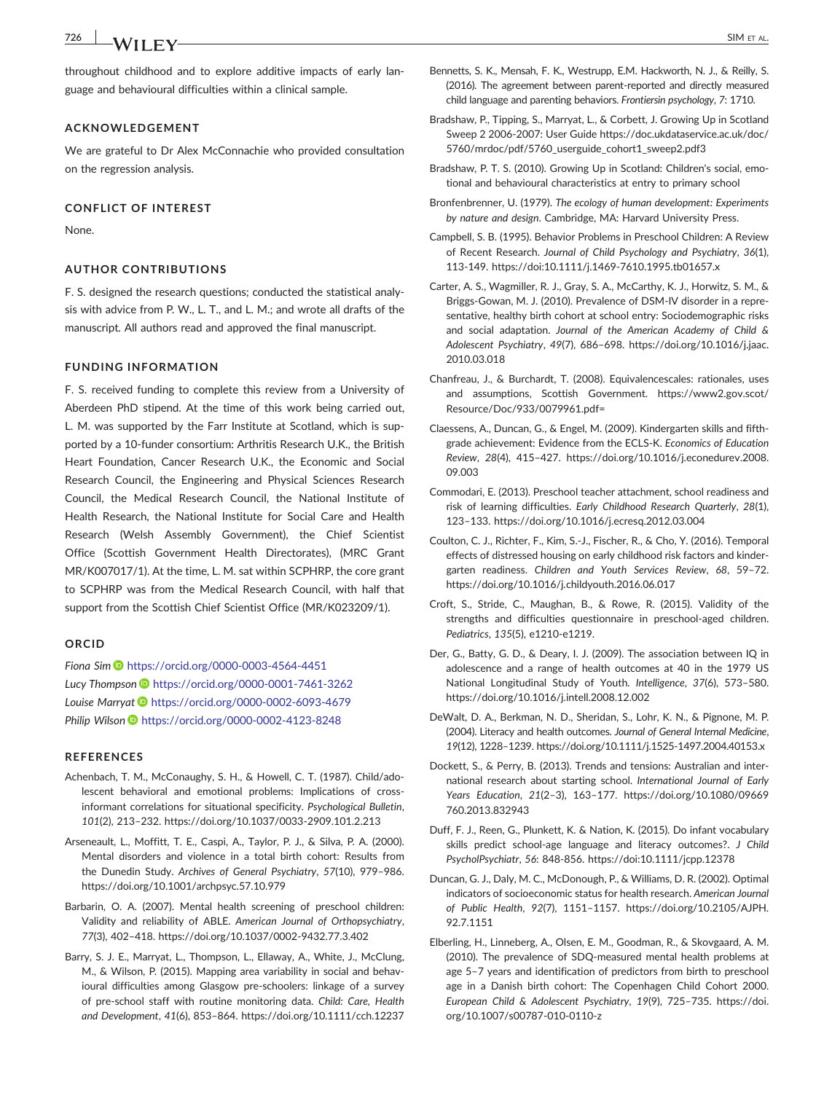throughout childhood and to explore additive impacts of early language and behavioural difficulties within a clinical sample.

#### **ACKNOWLEDGEMENT**

We are grateful to Dr Alex McConnachie who provided consultation on the regression analysis.

#### **CONFLICT OF INTEREST**

None.

#### **AUTHOR CONTRIBUTIONS**

F. S. designed the research questions; conducted the statistical analysis with advice from P. W., L. T., and L. M.; and wrote all drafts of the manuscript. All authors read and approved the final manuscript.

#### **FUNDING INFORMATION**

F. S. received funding to complete this review from a University of Aberdeen PhD stipend. At the time of this work being carried out, L. M. was supported by the Farr Institute at Scotland, which is supported by a 10-funder consortium: Arthritis Research U.K., the British Heart Foundation, Cancer Research U.K., the Economic and Social Research Council, the Engineering and Physical Sciences Research Council, the Medical Research Council, the National Institute of Health Research, the National Institute for Social Care and Health Research (Welsh Assembly Government), the Chief Scientist Office (Scottish Government Health Directorates), (MRC Grant MR/K007017/1). At the time, L. M. sat within SCPHRP, the core grant to SCPHRP was from the Medical Research Council, with half that support from the Scottish Chief Scientist Office (MR/K023209/1).

#### **ORCID**

*Fiona Sim* <https://orcid.org/0000-0003-4564-4451> *Lucy Thompson* <https://orcid.org/0000-0001-7461-3262> Louise Marryat **b** <https://orcid.org/0000-0002-6093-4679> *Philip Wilson* <https://orcid.org/0000-0002-4123-8248>

#### **REFERENCES**

- Achenbach, T. M., McConaughy, S. H., & Howell, C. T. (1987). Child/adolescent behavioral and emotional problems: Implications of crossinformant correlations for situational specificity. *Psychological Bulletin*, *101*(2), 213–232. [https://doi.org/10.1037/0033](https://doi.org/10.1037/0033-2909.101.2.213)‐2909.101.2.213
- Arseneault, L., Moffitt, T. E., Caspi, A., Taylor, P. J., & Silva, P. A. (2000). Mental disorders and violence in a total birth cohort: Results from the Dunedin Study. *Archives of General Psychiatry*, *57*(10), 979–986. <https://doi.org/10.1001/archpsyc.57.10.979>
- Barbarin, O. A. (2007). Mental health screening of preschool children: Validity and reliability of ABLE. *American Journal of Orthopsychiatry*, *77*(3), 402–418. [https://doi.org/10.1037/0002](https://doi.org/10.1037/0002-9432.77.3.402)‐9432.77.3.402
- Barry, S. J. E., Marryat, L., Thompson, L., Ellaway, A., White, J., McClung, M., & Wilson, P. (2015). Mapping area variability in social and behavioural difficulties among Glasgow pre‐schoolers: linkage of a survey of pre‐school staff with routine monitoring data. *Child: Care, Health and Development*, *41*(6), 853–864.<https://doi.org/10.1111/cch.12237>
- Bennetts, S. K., Mensah, F. K., Westrupp, E.M. Hackworth, N. J., & Reilly, S. (2016). The agreement between parent‐reported and directly measured child language and parenting behaviors. *Frontiersin psychology*, *7*: 1710.
- Bradshaw, P., Tipping, S., Marryat, L., & Corbett, J. Growing Up in Scotland Sweep 2 2006‐2007: User Guide [https://doc.ukdataservice.ac.uk/doc/](https://doc.ukdataservice.ac.uk/doc/5760/mrdoc/pdf/5760_userguide_cohort1_sweep2.pdf3) 5760/mrdoc/pdf/5760 userguide cohort1 sweep2.pdf3
- Bradshaw, P. T. S. (2010). Growing Up in Scotland: Children's social, emotional and behavioural characteristics at entry to primary school
- Bronfenbrenner, U. (1979). *The ecology of human development: Experiments by nature and design*. Cambridge, MA: Harvard University Press.
- Campbell, S. B. (1995). Behavior Problems in Preschool Children: A Review of Recent Research. *Journal of Child Psychology and Psychiatry*, *36*(1), 113‐149. [https://doi:10.1111/j.1469](https://doi:10.1111/j.1469-7610.1995.tb01657.x)‐7610.1995.tb01657.x
- Carter, A. S., Wagmiller, R. J., Gray, S. A., McCarthy, K. J., Horwitz, S. M., & Briggs‐Gowan, M. J. (2010). Prevalence of DSM‐IV disorder in a representative, healthy birth cohort at school entry: Sociodemographic risks and social adaptation. *Journal of the American Academy of Child & Adolescent Psychiatry*, *49*(7), 686–698. [https://doi.org/10.1016/j.jaac.](https://doi.org/10.1016/j.jaac.2010.03.018) [2010.03.018](https://doi.org/10.1016/j.jaac.2010.03.018)
- Chanfreau, J., & Burchardt, T. (2008). Equivalencescales: rationales, uses and assumptions, Scottish Government. [https://www2.gov.scot/](https://www2.gov.scot/Resource/Doc/933/0079961.pdf=) [Resource/Doc/933/0079961.pdf=](https://www2.gov.scot/Resource/Doc/933/0079961.pdf=)
- Claessens, A., Duncan, G., & Engel, M. (2009). Kindergarten skills and fifth‐ grade achievement: Evidence from the ECLS‐K. *Economics of Education Review*, *28*(4), 415–427. [https://doi.org/10.1016/j.econedurev.2008.](https://doi.org/10.1016/j.econedurev.2008.09.003) [09.003](https://doi.org/10.1016/j.econedurev.2008.09.003)
- Commodari, E. (2013). Preschool teacher attachment, school readiness and risk of learning difficulties. *Early Childhood Research Quarterly*, *28*(1), 123–133.<https://doi.org/10.1016/j.ecresq.2012.03.004>
- Coulton, C. J., Richter, F., Kim, S.‐J., Fischer, R., & Cho, Y. (2016). Temporal effects of distressed housing on early childhood risk factors and kindergarten readiness. *Children and Youth Services Review*, *68*, 59–72. <https://doi.org/10.1016/j.childyouth.2016.06.017>
- Croft, S., Stride, C., Maughan, B., & Rowe, R. (2015). Validity of the strengths and difficulties questionnaire in preschool‐aged children. *Pediatrics*, *135*(5), e1210‐e1219.
- Der, G., Batty, G. D., & Deary, I. J. (2009). The association between IQ in adolescence and a range of health outcomes at 40 in the 1979 US National Longitudinal Study of Youth. *Intelligence*, *37*(6), 573–580. <https://doi.org/10.1016/j.intell.2008.12.002>
- DeWalt, D. A., Berkman, N. D., Sheridan, S., Lohr, K. N., & Pignone, M. P. (2004). Literacy and health outcomes. *Journal of General Internal Medicine*, *19*(12), 1228–1239. [https://doi.org/10.1111/j.1525](https://doi.org/10.1111/j.1525-1497.2004.40153.x)‐1497.2004.40153.x
- Dockett, S., & Perry, B. (2013). Trends and tensions: Australian and international research about starting school. *International Journal of Early Years Education*, *21*(2–3), 163–177. [https://doi.org/10.1080/09669](https://doi.org/10.1080/09669760.2013.832943) [760.2013.832943](https://doi.org/10.1080/09669760.2013.832943)
- Duff, F. J., Reen, G., Plunkett, K. & Nation, K. (2015). Do infant vocabulary skills predict school‐age language and literacy outcomes?. *J Child PsycholPsychiatr*, *56*: 848‐856.<https://doi:10.1111/jcpp.12378>
- Duncan, G. J., Daly, M. C., McDonough, P., & Williams, D. R. (2002). Optimal indicators of socioeconomic status for health research. *American Journal of Public Health*, *92*(7), 1151–1157. [https://doi.org/10.2105/AJPH.](https://doi.org/10.2105/AJPH.92.7.1151) [92.7.1151](https://doi.org/10.2105/AJPH.92.7.1151)
- Elberling, H., Linneberg, A., Olsen, E. M., Goodman, R., & Skovgaard, A. M. (2010). The prevalence of SDQ‐measured mental health problems at age 5–7 years and identification of predictors from birth to preschool age in a Danish birth cohort: The Copenhagen Child Cohort 2000. *European Child & Adolescent Psychiatry*, *19*(9), 725–735. [https://doi.](https://doi.org/10.1007/s00787-010-0110-z) [org/10.1007/s00787](https://doi.org/10.1007/s00787-010-0110-z)‐010‐0110‐z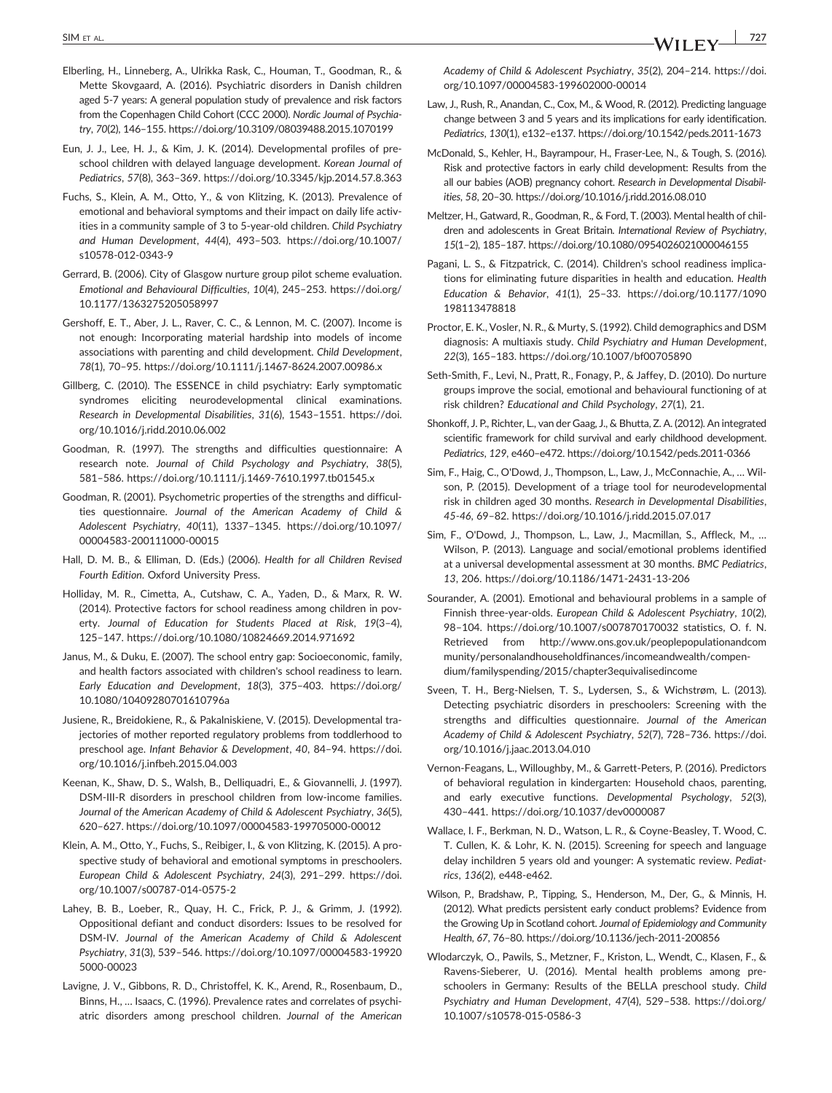- Elberling, H., Linneberg, A., Ulrikka Rask, C., Houman, T., Goodman, R., & Mette Skovgaard, A. (2016). Psychiatric disorders in Danish children aged 5-7 years: A general population study of prevalence and risk factors from the Copenhagen Child Cohort (CCC 2000). *Nordic Journal of Psychiatry*, *70*(2), 146–155.<https://doi.org/10.3109/08039488.2015.1070199>
- Eun, J. J., Lee, H. J., & Kim, J. K. (2014). Developmental profiles of preschool children with delayed language development. *Korean Journal of Pediatrics*, *57*(8), 363–369.<https://doi.org/10.3345/kjp.2014.57.8.363>
- Fuchs, S., Klein, A. M., Otto, Y., & von Klitzing, K. (2013). Prevalence of emotional and behavioral symptoms and their impact on daily life activities in a community sample of 3 to 5‐year‐old children. *Child Psychiatry and Human Development*, *44*(4), 493–503. [https://doi.org/10.1007/](https://doi.org/10.1007/s10578-012-0343-9) [s10578](https://doi.org/10.1007/s10578-012-0343-9)‐012‐0343‐9
- Gerrard, B. (2006). City of Glasgow nurture group pilot scheme evaluation. *Emotional and Behavioural Difficulties*, *10*(4), 245–253. [https://doi.org/](https://doi.org/10.1177/1363275205058997) [10.1177/1363275205058997](https://doi.org/10.1177/1363275205058997)
- Gershoff, E. T., Aber, J. L., Raver, C. C., & Lennon, M. C. (2007). Income is not enough: Incorporating material hardship into models of income associations with parenting and child development. *Child Development*, *78*(1), 70–95. [https://doi.org/10.1111/j.1467](https://doi.org/10.1111/j.1467-8624.2007.00986.x)‐8624.2007.00986.x
- Gillberg, C. (2010). The ESSENCE in child psychiatry: Early symptomatic syndromes eliciting neurodevelopmental clinical examinations. *Research in Developmental Disabilities*, *31*(6), 1543–1551. [https://doi.](https://doi.org/10.1016/j.ridd.2010.06.002) [org/10.1016/j.ridd.2010.06.002](https://doi.org/10.1016/j.ridd.2010.06.002)
- Goodman, R. (1997). The strengths and difficulties questionnaire: A research note. *Journal of Child Psychology and Psychiatry*, *38*(5), 581–586. [https://doi.org/10.1111/j.1469](https://doi.org/10.1111/j.1469-7610.1997.tb01545.x)‐7610.1997.tb01545.x
- Goodman, R. (2001). Psychometric properties of the strengths and difficulties questionnaire. *Journal of the American Academy of Child & Adolescent Psychiatry*, *40*(11), 1337–1345. [https://doi.org/10.1097/](https://doi.org/10.1097/00004583-200111000-00015) 00004583‐[200111000](https://doi.org/10.1097/00004583-200111000-00015)‐00015
- Hall, D. M. B., & Elliman, D. (Eds.) (2006). *Health for all Children Revised Fourth Edition*. Oxford University Press.
- Holliday, M. R., Cimetta, A., Cutshaw, C. A., Yaden, D., & Marx, R. W. (2014). Protective factors for school readiness among children in poverty. *Journal of Education for Students Placed at Risk*, *19*(3–4), 125–147.<https://doi.org/10.1080/10824669.2014.971692>
- Janus, M., & Duku, E. (2007). The school entry gap: Socioeconomic, family, and health factors associated with children's school readiness to learn. *Early Education and Development*, *18*(3), 375–403. [https://doi.org/](https://doi.org/10.1080/10409280701610796a) [10.1080/10409280701610796a](https://doi.org/10.1080/10409280701610796a)
- Jusiene, R., Breidokiene, R., & Pakalniskiene, V. (2015). Developmental trajectories of mother reported regulatory problems from toddlerhood to preschool age. *Infant Behavior & Development*, *40*, 84–94. [https://doi.](https://doi.org/10.1016/j.infbeh.2015.04.003) [org/10.1016/j.infbeh.2015.04.003](https://doi.org/10.1016/j.infbeh.2015.04.003)
- Keenan, K., Shaw, D. S., Walsh, B., Delliquadri, E., & Giovannelli, J. (1997). DSM-III-R disorders in preschool children from low-income families. *Journal of the American Academy of Child & Adolescent Psychiatry*, *36*(5), 620–627. [https://doi.org/10.1097/00004583](https://doi.org/10.1097/00004583-199705000-00012)‐199705000‐00012
- Klein, A. M., Otto, Y., Fuchs, S., Reibiger, I., & von Klitzing, K. (2015). A prospective study of behavioral and emotional symptoms in preschoolers. *European Child & Adolescent Psychiatry*, *24*(3), 291–299. [https://doi.](https://doi.org/10.1007/s00787-014-0575-2) [org/10.1007/s00787](https://doi.org/10.1007/s00787-014-0575-2)‐014‐0575‐2
- Lahey, B. B., Loeber, R., Quay, H. C., Frick, P. J., & Grimm, J. (1992). Oppositional defiant and conduct disorders: Issues to be resolved for DSM‐IV. *Journal of the American Academy of Child & Adolescent Psychiatry*, *31*(3), 539–546. [https://doi.org/10.1097/00004583](https://doi.org/10.1097/00004583-199205000-00023)‐19920 5000‐[00023](https://doi.org/10.1097/00004583-199205000-00023)
- Lavigne, J. V., Gibbons, R. D., Christoffel, K. K., Arend, R., Rosenbaum, D., Binns, H., … Isaacs, C. (1996). Prevalence rates and correlates of psychiatric disorders among preschool children. *Journal of the American*
- Law, J., Rush, R., Anandan, C., Cox, M., & Wood, R. (2012). Predicting language change between 3 and 5 years and its implications for early identification. *Pediatrics*, *130*(1), e132–e137. [https://doi.org/10.1542/peds.2011](https://doi.org/10.1542/peds.2011-1673)‐1673
- McDonald, S., Kehler, H., Bayrampour, H., Fraser‐Lee, N., & Tough, S. (2016). Risk and protective factors in early child development: Results from the all our babies (AOB) pregnancy cohort. *Research in Developmental Disabilities*, *58*, 20–30.<https://doi.org/10.1016/j.ridd.2016.08.010>
- Meltzer, H., Gatward, R., Goodman, R., & Ford, T. (2003). Mental health of children and adolescents in Great Britain. *International Review of Psychiatry*, *15*(1–2), 185–187.<https://doi.org/10.1080/0954026021000046155>
- Pagani, L. S., & Fitzpatrick, C. (2014). Children's school readiness implications for eliminating future disparities in health and education. *Health Education & Behavior*, *41*(1), 25–33. [https://doi.org/10.1177/1090](https://doi.org/10.1177/1090198113478818) [198113478818](https://doi.org/10.1177/1090198113478818)
- Proctor, E. K., Vosler, N. R., & Murty, S. (1992). Child demographics and DSM diagnosis: A multiaxis study. *Child Psychiatry and Human Development*, *22*(3), 165–183.<https://doi.org/10.1007/bf00705890>
- Seth‐Smith, F., Levi, N., Pratt, R., Fonagy, P., & Jaffey, D. (2010). Do nurture groups improve the social, emotional and behavioural functioning of at risk children? *Educational and Child Psychology*, *27*(1), 21.
- Shonkoff, J. P., Richter, L., van der Gaag, J., & Bhutta, Z. A. (2012). An integrated scientific framework for child survival and early childhood development. *Pediatrics*, *129*, e460–e472. [https://doi.org/10.1542/peds.2011](https://doi.org/10.1542/peds.2011-0366)‐0366
- Sim, F., Haig, C., O'Dowd, J., Thompson, L., Law, J., McConnachie, A., … Wilson, P. (2015). Development of a triage tool for neurodevelopmental risk in children aged 30 months. *Research in Developmental Disabilities*, *45‐46*, 69–82.<https://doi.org/10.1016/j.ridd.2015.07.017>
- Sim, F., O'Dowd, J., Thompson, L., Law, J., Macmillan, S., Affleck, M., … Wilson, P. (2013). Language and social/emotional problems identified at a universal developmental assessment at 30 months. *BMC Pediatrics*, *13*, 206. [https://doi.org/10.1186/1471](https://doi.org/10.1186/1471-2431-13-206)‐2431‐13‐206
- Sourander, A. (2001). Emotional and behavioural problems in a sample of Finnish three‐year‐olds. *European Child & Adolescent Psychiatry*, *10*(2), 98–104.<https://doi.org/10.1007/s007870170032> statistics, O. f. N. Retrieved from [http://www.ons.gov.uk/peoplepopulationandcom](http://www.ons.gov.uk/peoplepopulationandcommunity/personalandhouseholdfinances/incomeandwealth/compendium/familyspending/2015/chapter3equivalisedincome) [munity/personalandhouseholdfinances/incomeandwealth/compen](http://www.ons.gov.uk/peoplepopulationandcommunity/personalandhouseholdfinances/incomeandwealth/compendium/familyspending/2015/chapter3equivalisedincome)[dium/familyspending/2015/chapter3equivalisedincome](http://www.ons.gov.uk/peoplepopulationandcommunity/personalandhouseholdfinances/incomeandwealth/compendium/familyspending/2015/chapter3equivalisedincome)
- Sveen, T. H., Berg‐Nielsen, T. S., Lydersen, S., & Wichstrøm, L. (2013). Detecting psychiatric disorders in preschoolers: Screening with the strengths and difficulties questionnaire. *Journal of the American Academy of Child & Adolescent Psychiatry*, *52*(7), 728–736. [https://doi.](https://doi.org/10.1016/j.jaac.2013.04.010) [org/10.1016/j.jaac.2013.04.010](https://doi.org/10.1016/j.jaac.2013.04.010)
- Vernon‐Feagans, L., Willoughby, M., & Garrett‐Peters, P. (2016). Predictors of behavioral regulation in kindergarten: Household chaos, parenting, and early executive functions. *Developmental Psychology*, *52*(3), 430–441.<https://doi.org/10.1037/dev0000087>
- Wallace, I. F., Berkman, N. D., Watson, L. R., & Coyne‐Beasley, T. Wood, C. T. Cullen, K. & Lohr, K. N. (2015). Screening for speech and language delay inchildren 5 years old and younger: A systematic review. *Pediatrics*, *136*(2), e448‐e462.
- Wilson, P., Bradshaw, P., Tipping, S., Henderson, M., Der, G., & Minnis, H. (2012). What predicts persistent early conduct problems? Evidence from the Growing Up in Scotland cohort. *Journal of Epidemiology and Community Health*, *67*, 76–80. [https://doi.org/10.1136/jech](https://doi.org/10.1136/jech-2011-200856)‐2011‐200856
- Wlodarczyk, O., Pawils, S., Metzner, F., Kriston, L., Wendt, C., Klasen, F., & Ravens‐Sieberer, U. (2016). Mental health problems among preschoolers in Germany: Results of the BELLA preschool study. *Child Psychiatry and Human Development*, *47*(4), 529–538. [https://doi.org/](https://doi.org/10.1007/s10578-015-0586-3) [10.1007/s10578](https://doi.org/10.1007/s10578-015-0586-3)‐015‐0586‐3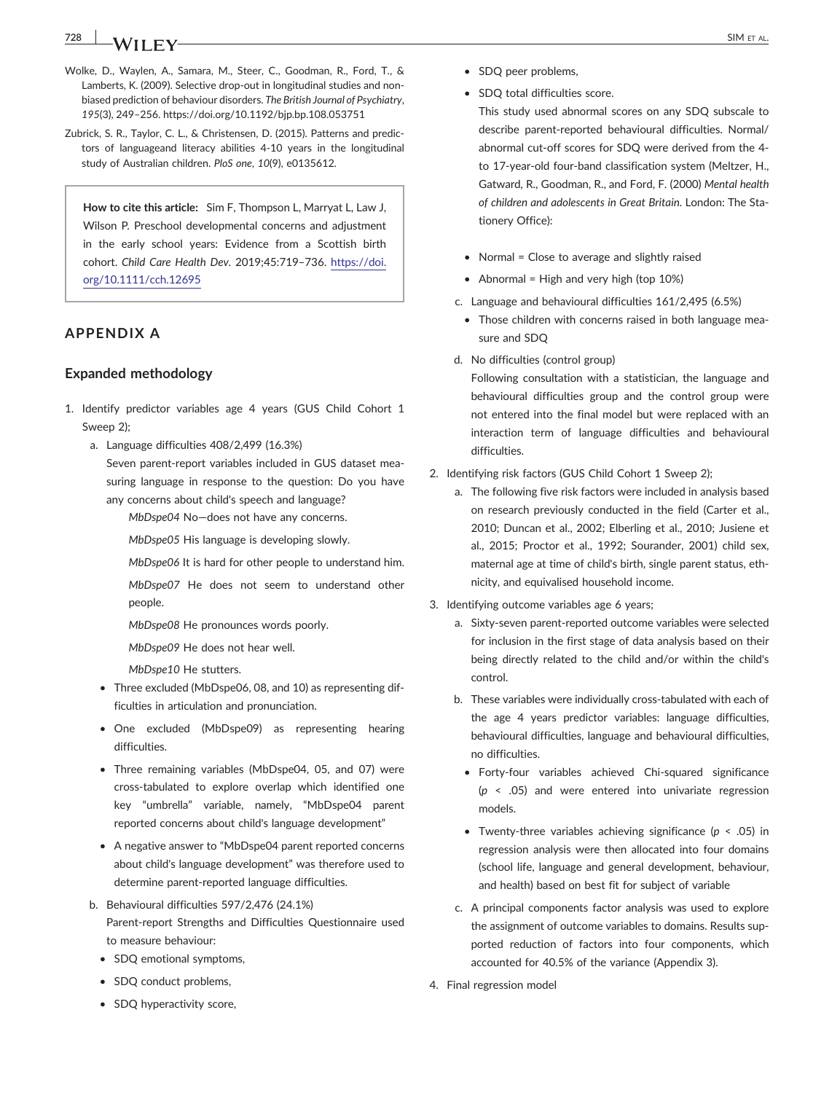- Wolke, D., Waylen, A., Samara, M., Steer, C., Goodman, R., Ford, T., & Lamberts, K. (2009). Selective drop‐out in longitudinal studies and non‐ biased prediction of behaviour disorders. *The British Journal of Psychiatry*, *195*(3), 249–256.<https://doi.org/10.1192/bjp.bp.108.053751>
- Zubrick, S. R., Taylor, C. L., & Christensen, D. (2015). Patterns and predictors of languageand literacy abilities 4‐10 years in the longitudinal study of Australian children. *PloS one*, *10*(9), e0135612.

**How to cite this article:** Sim F, Thompson L, Marryat L, Law J, Wilson P. Preschool developmental concerns and adjustment in the early school years: Evidence from a Scottish birth cohort. *Child Care Health Dev*. 2019;45:719–736. [https://doi.](https://doi.org/10.1111/cch.12695) [org/10.1111/cch.12695](https://doi.org/10.1111/cch.12695)

# **APPENDIX A**

### **Expanded methodology**

- 1. Identify predictor variables age 4 years (GUS Child Cohort 1 Sweep 2);
	- a. Language difficulties 408/2,499 (16.3%)
		- Seven parent‐report variables included in GUS dataset measuring language in response to the question: Do you have any concerns about child's speech and language?
			- *MbDspe04* No—does not have any concerns.
			- *MbDspe05* His language is developing slowly.
			- *MbDspe06* It is hard for other people to understand him.
			- *MbDspe07* He does not seem to understand other people.
			- *MbDspe08* He pronounces words poorly.
			- *MbDspe09* He does not hear well.
			- *MbDspe10* He stutters.
		- Three excluded (MbDspe06, 08, and 10) as representing difficulties in articulation and pronunciation.
		- One excluded (MbDspe09) as representing hearing difficulties.
		- Three remaining variables (MbDspe04, 05, and 07) were cross‐tabulated to explore overlap which identified one key "umbrella" variable, namely, "MbDspe04 parent reported concerns about child's language development"
		- A negative answer to "MbDspe04 parent reported concerns about child's language development" was therefore used to determine parent‐reported language difficulties.
	- b. Behavioural difficulties 597/2,476 (24.1%) Parent‐report Strengths and Difficulties Questionnaire used to measure behaviour:
		- SDQ emotional symptoms,
		- SDQ conduct problems,
		- SDQ hyperactivity score,
- SDQ peer problems,
- SDQ total difficulties score.

This study used abnormal scores on any SDQ subscale to describe parent‐reported behavioural difficulties. Normal/ abnormal cut‐off scores for SDQ were derived from the 4‐ to 17‐year‐old four‐band classification system (Meltzer, H., Gatward, R., Goodman, R., and Ford, F. (2000) *Mental health of children and adolescents in Great Britain*. London: The Stationery Office):

- Normal = Close to average and slightly raised
- Abnormal = High and very high (top 10%)
- c. Language and behavioural difficulties 161/2,495 (6.5%)
- Those children with concerns raised in both language measure and SDQ
- d. No difficulties (control group)

Following consultation with a statistician, the language and behavioural difficulties group and the control group were not entered into the final model but were replaced with an interaction term of language difficulties and behavioural difficulties.

- 2. Identifying risk factors (GUS Child Cohort 1 Sweep 2);
	- a. The following five risk factors were included in analysis based on research previously conducted in the field (Carter et al., 2010; Duncan et al., 2002; Elberling et al., 2010; Jusiene et al., 2015; Proctor et al., 1992; Sourander, 2001) child sex, maternal age at time of child's birth, single parent status, ethnicity, and equivalised household income.
- 3. Identifying outcome variables age 6 years;
	- a. Sixty‐seven parent‐reported outcome variables were selected for inclusion in the first stage of data analysis based on their being directly related to the child and/or within the child's control.
	- b. These variables were individually cross‐tabulated with each of the age 4 years predictor variables: language difficulties, behavioural difficulties, language and behavioural difficulties, no difficulties.
		- Forty‐four variables achieved Chi‐squared significance (*p* < .05) and were entered into univariate regression models.
		- Twenty‐three variables achieving significance (*p* < .05) in regression analysis were then allocated into four domains (school life, language and general development, behaviour, and health) based on best fit for subject of variable
	- c. A principal components factor analysis was used to explore the assignment of outcome variables to domains. Results supported reduction of factors into four components, which accounted for 40.5% of the variance (Appendix 3).
- 4. Final regression model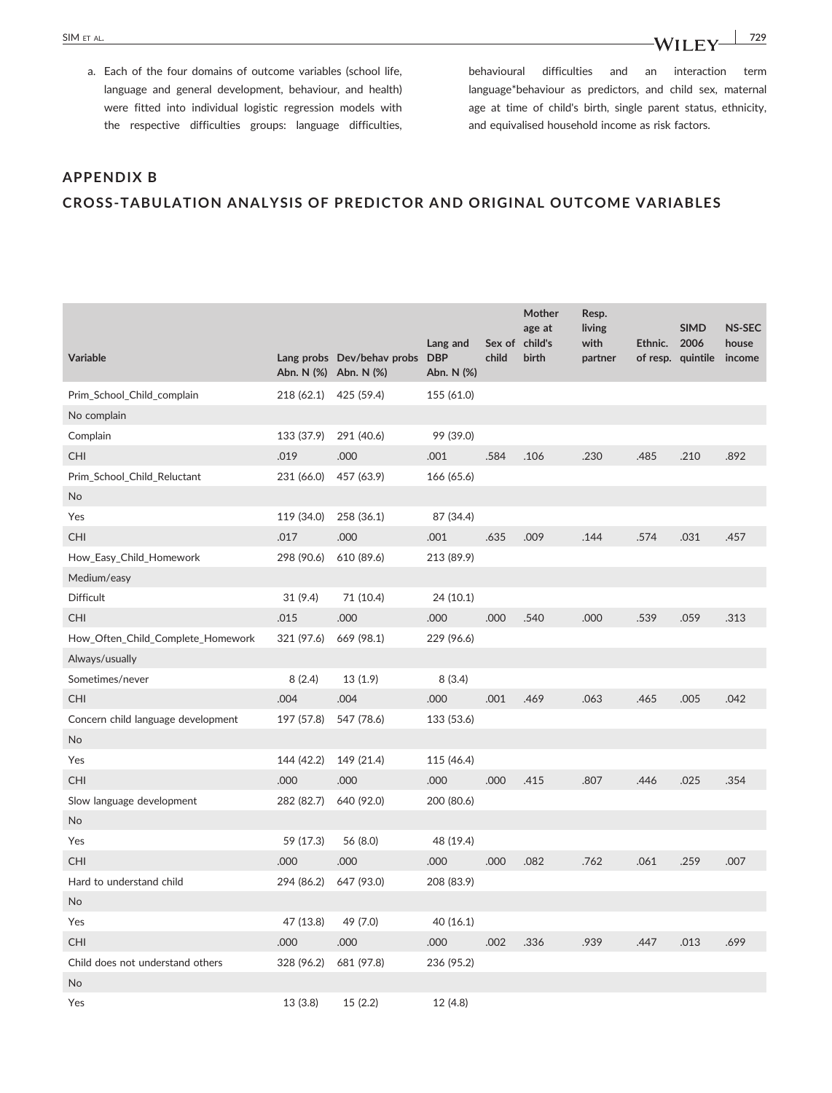behavioural difficulties and an interaction term language\*behaviour as predictors, and child sex, maternal age at time of child's birth, single parent status, ethnicity, and equivalised household income as risk factors.

# **APPENDIX B**

### **CROSS‐TABULATION ANALYSIS OF PREDICTOR AND ORIGINAL OUTCOME VARIABLES**

| <b>Variable</b>                    | Abn. N (%) Abn. N (%) | Lang probs Dev/behav probs | Lang and<br><b>DBP</b><br>Abn. N (%) | child | Mother<br>age at<br>Sex of child's<br>birth | Resp.<br>living<br>with<br>partner | Ethnic. | <b>SIMD</b><br>2006<br>of resp. quintile | <b>NS-SEC</b><br>house<br>income |
|------------------------------------|-----------------------|----------------------------|--------------------------------------|-------|---------------------------------------------|------------------------------------|---------|------------------------------------------|----------------------------------|
| Prim_School_Child_complain         | 218 (62.1)            | 425 (59.4)                 | 155 (61.0)                           |       |                                             |                                    |         |                                          |                                  |
| No complain                        |                       |                            |                                      |       |                                             |                                    |         |                                          |                                  |
| Complain                           | 133 (37.9)            | 291 (40.6)                 | 99 (39.0)                            |       |                                             |                                    |         |                                          |                                  |
| <b>CHI</b>                         | .019                  | .000                       | .001                                 | .584  | .106                                        | .230                               | .485    | .210                                     | .892                             |
| Prim_School_Child_Reluctant        | 231 (66.0)            | 457 (63.9)                 | 166 (65.6)                           |       |                                             |                                    |         |                                          |                                  |
| No                                 |                       |                            |                                      |       |                                             |                                    |         |                                          |                                  |
| Yes                                | 119 (34.0)            | 258 (36.1)                 | 87 (34.4)                            |       |                                             |                                    |         |                                          |                                  |
| <b>CHI</b>                         | .017                  | .000                       | .001                                 | .635  | .009                                        | .144                               | .574    | .031                                     | .457                             |
| How_Easy_Child_Homework            | 298 (90.6)            | 610 (89.6)                 | 213 (89.9)                           |       |                                             |                                    |         |                                          |                                  |
| Medium/easy                        |                       |                            |                                      |       |                                             |                                    |         |                                          |                                  |
| <b>Difficult</b>                   | 31 (9.4)              | 71 (10.4)                  | 24 (10.1)                            |       |                                             |                                    |         |                                          |                                  |
| <b>CHI</b>                         | .015                  | .000                       | .000                                 | .000  | .540                                        | .000                               | .539    | .059                                     | .313                             |
| How_Often_Child_Complete_Homework  | 321 (97.6)            | 669 (98.1)                 | 229 (96.6)                           |       |                                             |                                    |         |                                          |                                  |
| Always/usually                     |                       |                            |                                      |       |                                             |                                    |         |                                          |                                  |
| Sometimes/never                    | 8(2.4)                | 13(1.9)                    | 8(3.4)                               |       |                                             |                                    |         |                                          |                                  |
| <b>CHI</b>                         | .004                  | .004                       | .000                                 | .001  | .469                                        | .063                               | .465    | .005                                     | .042                             |
| Concern child language development | 197 (57.8)            | 547 (78.6)                 | 133 (53.6)                           |       |                                             |                                    |         |                                          |                                  |
| No                                 |                       |                            |                                      |       |                                             |                                    |         |                                          |                                  |
| Yes                                | 144 (42.2)            | 149 (21.4)                 | 115 (46.4)                           |       |                                             |                                    |         |                                          |                                  |
| <b>CHI</b>                         | .000                  | .000                       | .000                                 | .000  | .415                                        | .807                               | .446    | .025                                     | .354                             |
| Slow language development          | 282 (82.7)            | 640 (92.0)                 | 200 (80.6)                           |       |                                             |                                    |         |                                          |                                  |
| No                                 |                       |                            |                                      |       |                                             |                                    |         |                                          |                                  |
| Yes                                | 59 (17.3)             | 56 (8.0)                   | 48 (19.4)                            |       |                                             |                                    |         |                                          |                                  |
| <b>CHI</b>                         | .000                  | .000                       | .000                                 | .000  | .082                                        | .762                               | .061    | .259                                     | .007                             |
| Hard to understand child           | 294 (86.2)            | 647 (93.0)                 | 208 (83.9)                           |       |                                             |                                    |         |                                          |                                  |
| No                                 |                       |                            |                                      |       |                                             |                                    |         |                                          |                                  |
| Yes                                | 47 (13.8)             | 49 (7.0)                   | 40 (16.1)                            |       |                                             |                                    |         |                                          |                                  |
| <b>CHI</b>                         | .000                  | .000                       | .000                                 | .002  | .336                                        | .939                               | .447    | .013                                     | .699                             |
| Child does not understand others   | 328 (96.2)            | 681 (97.8)                 | 236 (95.2)                           |       |                                             |                                    |         |                                          |                                  |
| No                                 |                       |                            |                                      |       |                                             |                                    |         |                                          |                                  |
| Yes                                | 13(3.8)               | 15(2.2)                    | 12 (4.8)                             |       |                                             |                                    |         |                                          |                                  |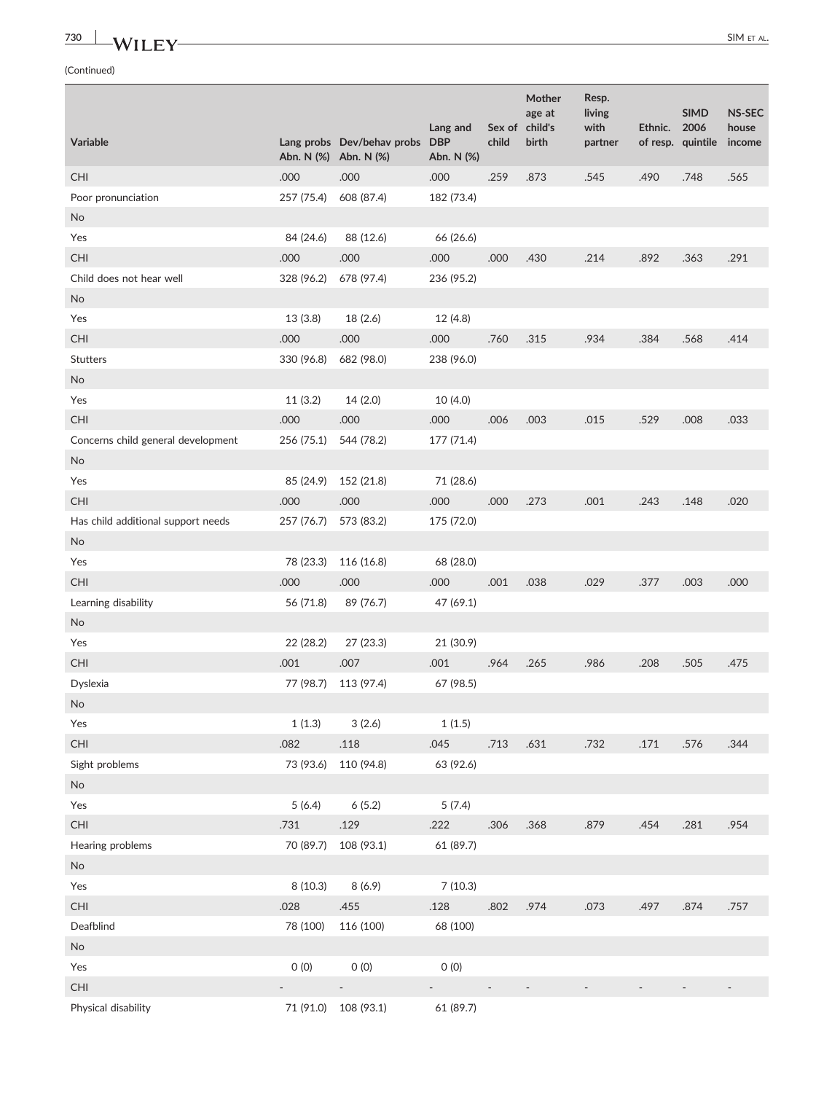# **730 WILEY** SIMETAL.

|                                    |                       |                            | Lang and                 |                          | <b>Mother</b><br>age at<br>Sex of child's | Resp.<br>living<br>with | Ethnic. | <b>SIMD</b><br>2006 | <b>NS-SEC</b><br>house |
|------------------------------------|-----------------------|----------------------------|--------------------------|--------------------------|-------------------------------------------|-------------------------|---------|---------------------|------------------------|
| Variable                           | Abn. N (%) Abn. N (%) | Lang probs Dev/behav probs | <b>DBP</b><br>Abn. N (%) | child                    | birth                                     | partner                 |         | of resp. quintile   | income                 |
| <b>CHI</b>                         | .000                  | .000                       | .000                     | .259                     | .873                                      | .545                    | .490    | .748                | .565                   |
| Poor pronunciation                 | 257 (75.4)            | 608 (87.4)                 | 182 (73.4)               |                          |                                           |                         |         |                     |                        |
| <b>No</b>                          |                       |                            |                          |                          |                                           |                         |         |                     |                        |
| Yes                                | 84 (24.6)             | 88 (12.6)                  | 66 (26.6)                |                          |                                           |                         |         |                     |                        |
| <b>CHI</b>                         | .000                  | .000                       | .000                     | .000                     | .430                                      | .214                    | .892    | .363                | .291                   |
| Child does not hear well           | 328 (96.2)            | 678 (97.4)                 | 236 (95.2)               |                          |                                           |                         |         |                     |                        |
| <b>No</b>                          |                       |                            |                          |                          |                                           |                         |         |                     |                        |
| Yes                                | 13(3.8)               | 18(2.6)                    | 12 (4.8)                 |                          |                                           |                         |         |                     |                        |
| CHI                                | .000                  | .000                       | .000                     | .760                     | .315                                      | .934                    | .384    | .568                | .414                   |
| <b>Stutters</b>                    | 330 (96.8)            | 682 (98.0)                 | 238 (96.0)               |                          |                                           |                         |         |                     |                        |
| <b>No</b>                          |                       |                            |                          |                          |                                           |                         |         |                     |                        |
| Yes                                | 11(3.2)               | 14 (2.0)                   | 10(4.0)                  |                          |                                           |                         |         |                     |                        |
| CHI                                | .000                  | .000                       | .000                     | .006                     | .003                                      | .015                    | .529    | .008                | .033                   |
| Concerns child general development | 256 (75.1)            | 544 (78.2)                 | 177 (71.4)               |                          |                                           |                         |         |                     |                        |
| <b>No</b>                          |                       |                            |                          |                          |                                           |                         |         |                     |                        |
| Yes                                | 85 (24.9)             | 152 (21.8)                 | 71 (28.6)                |                          |                                           |                         |         |                     |                        |
| <b>CHI</b>                         | .000                  | .000                       | .000                     | .000                     | .273                                      | .001                    | .243    | .148                | .020                   |
| Has child additional support needs | 257 (76.7)            | 573 (83.2)                 | 175 (72.0)               |                          |                                           |                         |         |                     |                        |
| <b>No</b>                          |                       |                            |                          |                          |                                           |                         |         |                     |                        |
| Yes                                | 78 (23.3)             | 116 (16.8)                 | 68 (28.0)                |                          |                                           |                         |         |                     |                        |
| <b>CHI</b>                         | .000                  | .000                       | .000                     | .001                     | .038                                      | .029                    | .377    | .003                | .000                   |
| Learning disability                | 56 (71.8)             | 89 (76.7)                  | 47 (69.1)                |                          |                                           |                         |         |                     |                        |
| <b>No</b>                          |                       |                            |                          |                          |                                           |                         |         |                     |                        |
| Yes                                | 22 (28.2)             | 27 (23.3)                  | 21 (30.9)                |                          |                                           |                         |         |                     |                        |
| CHI                                | .001                  | .007                       | .001                     | .964                     | .265                                      | .986                    | .208    | .505                | .475                   |
| Dyslexia                           | 77 (98.7)             | 113 (97.4)                 | 67 (98.5)                |                          |                                           |                         |         |                     |                        |
| No                                 |                       |                            |                          |                          |                                           |                         |         |                     |                        |
| Yes                                | 1(1.3)                | 3(2.6)                     | 1(1.5)                   |                          |                                           |                         |         |                     |                        |
| CHI                                | .082                  | .118                       | .045                     | .713                     | .631                                      | .732                    | .171    | .576                | .344                   |
| Sight problems                     |                       | 73 (93.6) 110 (94.8)       | 63 (92.6)                |                          |                                           |                         |         |                     |                        |
| <b>No</b>                          |                       |                            |                          |                          |                                           |                         |         |                     |                        |
| Yes                                | 5(6.4)                | 6(5.2)                     | 5(7.4)                   |                          |                                           |                         |         |                     |                        |
| CHI                                | .731                  | .129                       | .222                     | .306                     | .368                                      | .879                    | .454    | .281                | .954                   |
| Hearing problems                   | 70 (89.7)             | 108 (93.1)                 | 61 (89.7)                |                          |                                           |                         |         |                     |                        |
| <b>No</b>                          |                       |                            |                          |                          |                                           |                         |         |                     |                        |
| Yes                                | 8(10.3)               | 8(6.9)                     | 7(10.3)                  |                          |                                           |                         |         |                     |                        |
| CHI                                | .028                  | .455                       | .128                     | .802                     | .974                                      | .073                    | .497    | .874                | .757                   |
| Deafblind                          | 78 (100)              | 116 (100)                  | 68 (100)                 |                          |                                           |                         |         |                     |                        |
| <b>No</b>                          |                       |                            |                          |                          |                                           |                         |         |                     |                        |
| Yes                                | 0(0)                  | 0(0)                       | O(0)                     |                          |                                           |                         |         |                     |                        |
| CHI                                |                       | $\sim$                     | ÷,                       | $\overline{\phantom{a}}$ |                                           |                         |         |                     |                        |
| Physical disability                |                       | 71 (91.0) 108 (93.1)       | 61 (89.7)                |                          |                                           |                         |         |                     |                        |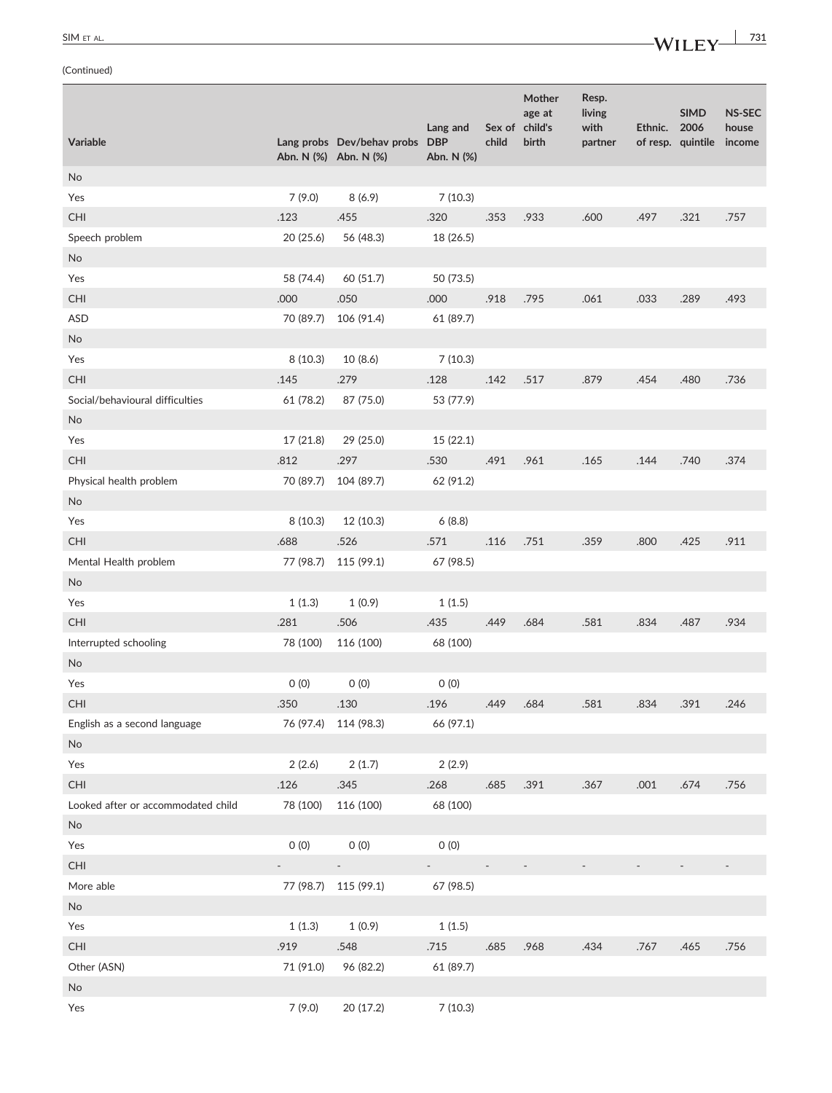|                                    |                       |                                |                             |        | Mother<br>age at | Resp.<br>living |         | <b>SIMD</b>       | <b>NS-SEC</b> |
|------------------------------------|-----------------------|--------------------------------|-----------------------------|--------|------------------|-----------------|---------|-------------------|---------------|
|                                    |                       |                                | Lang and                    |        | Sex of child's   | with            | Ethnic. | 2006              | house         |
| Variable                           | Abn. N (%) Abn. N (%) | Lang probs Dev/behav probs DBP | Abn. N (%)                  | child  | birth            | partner         |         | of resp. quintile | income        |
| No                                 |                       |                                |                             |        |                  |                 |         |                   |               |
| Yes                                | 7(9.0)                | 8(6.9)                         | 7(10.3)                     |        |                  |                 |         |                   |               |
| CHI                                | .123                  | .455                           | .320                        | .353   | .933             | .600            | .497    | .321              | .757          |
| Speech problem                     | 20(25.6)              | 56 (48.3)                      | 18 (26.5)                   |        |                  |                 |         |                   |               |
| <b>No</b>                          |                       |                                |                             |        |                  |                 |         |                   |               |
| Yes                                | 58 (74.4)             | 60 (51.7)                      | 50 (73.5)                   |        |                  |                 |         |                   |               |
| CHI                                | .000                  | .050                           | .000                        | .918   | .795             | .061            | .033    | .289              | .493          |
| <b>ASD</b>                         | 70 (89.7)             | 106 (91.4)                     | 61 (89.7)                   |        |                  |                 |         |                   |               |
| No                                 |                       |                                |                             |        |                  |                 |         |                   |               |
| Yes                                | 8(10.3)               | 10 (8.6)                       | 7(10.3)                     |        |                  |                 |         |                   |               |
| CHI                                | .145                  | .279                           | .128                        | .142   | .517             | .879            | .454    | .480              | .736          |
| Social/behavioural difficulties    | 61 (78.2)             | 87 (75.0)                      | 53 (77.9)                   |        |                  |                 |         |                   |               |
| No                                 |                       |                                |                             |        |                  |                 |         |                   |               |
| Yes                                | 17 (21.8)             | 29 (25.0)                      | 15 (22.1)                   |        |                  |                 |         |                   |               |
| <b>CHI</b>                         | .812                  | .297                           | .530                        | .491   | .961             | .165            | .144    | .740              | .374          |
| Physical health problem            | 70 (89.7)             | 104 (89.7)                     | 62 (91.2)                   |        |                  |                 |         |                   |               |
| No                                 |                       |                                |                             |        |                  |                 |         |                   |               |
| Yes                                | 8(10.3)               | 12 (10.3)                      | 6(8.8)                      |        |                  |                 |         |                   |               |
| CHI                                | .688                  | .526                           | .571                        | .116   | .751             | .359            | .800    | .425              | .911          |
| Mental Health problem              | 77 (98.7)             | 115 (99.1)                     | 67 (98.5)                   |        |                  |                 |         |                   |               |
| No                                 |                       |                                |                             |        |                  |                 |         |                   |               |
| Yes                                | 1(1.3)                | 1(0.9)                         | 1(1.5)                      |        |                  |                 |         |                   |               |
| CHI                                | .281                  | .506                           | .435                        | .449   | .684             | .581            | .834    | .487              | .934          |
| Interrupted schooling              | 78 (100)              | 116 (100)                      | 68 (100)                    |        |                  |                 |         |                   |               |
| No                                 |                       |                                |                             |        |                  |                 |         |                   |               |
| Yes                                | 0(0)                  | 0(0)                           | 0(0)                        |        |                  |                 |         |                   |               |
| CHI.                               | .350                  | .130                           | .196                        | .449   | .684             | 581             | .834    | 391               | 246           |
| English as a second language       |                       | 76 (97.4) 114 (98.3)           | 66 (97.1)                   |        |                  |                 |         |                   |               |
| No                                 |                       |                                |                             |        |                  |                 |         |                   |               |
| Yes                                | 2(2.6)                | 2(1.7)                         | 2(2.9)                      |        |                  |                 |         |                   |               |
| CHI                                | .126                  | .345                           | .268                        | .685   | .391             | .367            | .001    | .674              | .756          |
| Looked after or accommodated child | 78 (100)              | 116 (100)                      | 68 (100)                    |        |                  |                 |         |                   |               |
| <b>No</b>                          |                       |                                |                             |        |                  |                 |         |                   |               |
| Yes                                | 0(0)                  | 0(0)                           | 0(0)                        |        |                  |                 |         |                   |               |
| CHI                                |                       | $\sim$                         | $\mathcal{L}_{\mathcal{A}}$ | $\sim$ |                  |                 |         |                   |               |
| More able                          |                       | 77 (98.7) 115 (99.1)           | 67 (98.5)                   |        |                  |                 |         |                   |               |
| <b>No</b>                          |                       |                                |                             |        |                  |                 |         |                   |               |
| Yes                                | 1(1.3)                | 1(0.9)                         | 1(1.5)                      |        |                  |                 |         |                   |               |
| CHI                                | .919                  | .548                           | .715                        | .685   | .968             | .434            | .767    | .465              | .756          |
| Other (ASN)                        | 71 (91.0)             | 96 (82.2)                      | 61 (89.7)                   |        |                  |                 |         |                   |               |
| No                                 |                       |                                |                             |        |                  |                 |         |                   |               |
| Yes                                | 7(9.0)                | 20 (17.2)                      | 7(10.3)                     |        |                  |                 |         |                   |               |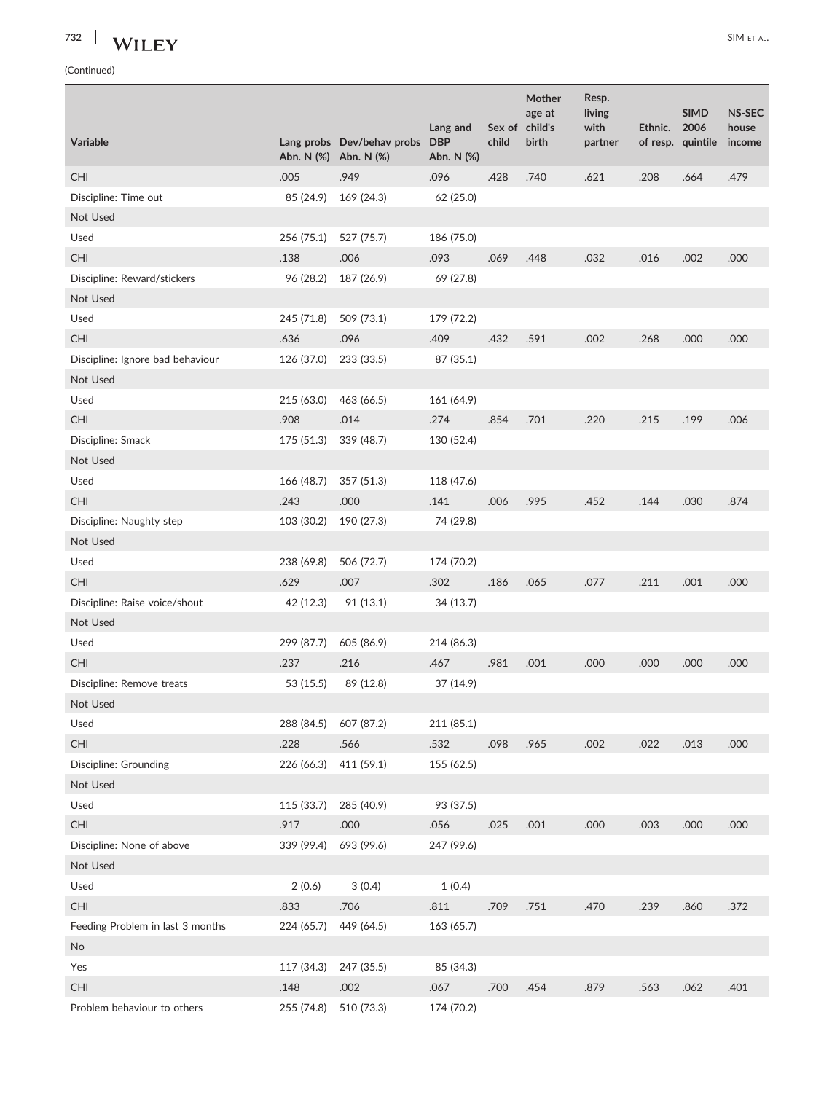# **732 WILEY** SIM ET AL.

|                                  |                       |                                                     | Lang and                 |       | Mother<br>age at<br>Sex of child's | Resp.<br>living<br>with | Ethnic. | <b>SIMD</b><br>2006 | <b>NS-SEC</b><br>house |
|----------------------------------|-----------------------|-----------------------------------------------------|--------------------------|-------|------------------------------------|-------------------------|---------|---------------------|------------------------|
| Variable                         |                       | Lang probs Dev/behav probs<br>Abn. N (%) Abn. N (%) | <b>DBP</b><br>Abn. N (%) | child | birth                              | partner                 |         | of resp. quintile   | income                 |
| <b>CHI</b>                       | .005                  | .949                                                | .096                     | .428  | .740                               | .621                    | .208    | .664                | .479                   |
| Discipline: Time out             | 85 (24.9)             | 169 (24.3)                                          | 62 (25.0)                |       |                                    |                         |         |                     |                        |
| Not Used                         |                       |                                                     |                          |       |                                    |                         |         |                     |                        |
| Used                             | 256 (75.1)            | 527 (75.7)                                          | 186 (75.0)               |       |                                    |                         |         |                     |                        |
| <b>CHI</b>                       | .138                  | .006                                                | .093                     | .069  | .448                               | .032                    | .016    | .002                | .000                   |
| Discipline: Reward/stickers      | 96 (28.2)             | 187 (26.9)                                          | 69 (27.8)                |       |                                    |                         |         |                     |                        |
| Not Used                         |                       |                                                     |                          |       |                                    |                         |         |                     |                        |
| Used                             | 245 (71.8)            | 509 (73.1)                                          | 179 (72.2)               |       |                                    |                         |         |                     |                        |
| <b>CHI</b>                       | .636                  | .096                                                | .409                     | .432  | .591                               | .002                    | .268    | .000                | .000                   |
| Discipline: Ignore bad behaviour | 126 (37.0)            | 233 (33.5)                                          | 87 (35.1)                |       |                                    |                         |         |                     |                        |
| Not Used                         |                       |                                                     |                          |       |                                    |                         |         |                     |                        |
| Used                             | 215 (63.0)            | 463 (66.5)                                          | 161 (64.9)               |       |                                    |                         |         |                     |                        |
| CHI                              | .908                  | .014                                                | .274                     | .854  | .701                               | .220                    | .215    | .199                | .006                   |
| Discipline: Smack                | 175 (51.3)            | 339 (48.7)                                          | 130 (52.4)               |       |                                    |                         |         |                     |                        |
| Not Used                         |                       |                                                     |                          |       |                                    |                         |         |                     |                        |
| Used                             | 166 (48.7)            | 357 (51.3)                                          | 118 (47.6)               |       |                                    |                         |         |                     |                        |
| <b>CHI</b>                       | .243                  | .000                                                | .141                     | .006  | .995                               | .452                    | .144    | .030                | .874                   |
| Discipline: Naughty step         | 103 (30.2)            | 190 (27.3)                                          | 74 (29.8)                |       |                                    |                         |         |                     |                        |
| Not Used                         |                       |                                                     |                          |       |                                    |                         |         |                     |                        |
| Used                             | 238 (69.8)            | 506 (72.7)                                          | 174 (70.2)               |       |                                    |                         |         |                     |                        |
| <b>CHI</b>                       | .629                  | .007                                                | .302                     | .186  | .065                               | .077                    | .211    | .001                | .000                   |
| Discipline: Raise voice/shout    | 42 (12.3)             | 91 (13.1)                                           | 34 (13.7)                |       |                                    |                         |         |                     |                        |
| Not Used                         |                       |                                                     |                          |       |                                    |                         |         |                     |                        |
| Used                             | 299 (87.7)            | 605 (86.9)                                          | 214 (86.3)               |       |                                    |                         |         |                     |                        |
| <b>CHI</b>                       | .237                  | .216                                                | .467                     | .981  | .001                               | .000                    | .000    | .000                | .000                   |
| Discipline: Remove treats        | 53 (15.5)             | 89 (12.8)                                           | 37 (14.9)                |       |                                    |                         |         |                     |                        |
| Not Used                         |                       |                                                     |                          |       |                                    |                         |         |                     |                        |
| Used                             | 288 (84.5) 607 (87.2) |                                                     | 211 (85.1)               |       |                                    |                         |         |                     |                        |
| CHI                              | .228                  | .566                                                | .532                     | .098  | .965                               | .002                    | .022    | .013                | .000                   |
| Discipline: Grounding            | 226 (66.3)            | 411 (59.1)                                          | 155 (62.5)               |       |                                    |                         |         |                     |                        |
| Not Used                         |                       |                                                     |                          |       |                                    |                         |         |                     |                        |
| Used                             | 115 (33.7)            | 285 (40.9)                                          | 93 (37.5)                |       |                                    |                         |         |                     |                        |
| CHI                              | .917                  | .000                                                | .056                     | .025  | .001                               | .000                    | .003    | .000                | .000                   |
| Discipline: None of above        | 339 (99.4)            | 693 (99.6)                                          | 247 (99.6)               |       |                                    |                         |         |                     |                        |
| Not Used                         |                       |                                                     |                          |       |                                    |                         |         |                     |                        |
| Used                             | 2(0.6)                | 3(0.4)                                              | 1(0.4)                   |       |                                    |                         |         |                     |                        |
| CHI                              | .833                  | .706                                                | .811                     | .709  | .751                               | .470                    | .239    | .860                | .372                   |
| Feeding Problem in last 3 months | 224 (65.7)            | 449 (64.5)                                          | 163 (65.7)               |       |                                    |                         |         |                     |                        |
| <b>No</b>                        |                       |                                                     |                          |       |                                    |                         |         |                     |                        |
| Yes                              | 117 (34.3)            | 247 (35.5)                                          | 85 (34.3)                |       |                                    |                         |         |                     |                        |
| CHI                              | .148                  | .002                                                | .067                     | .700  | .454                               | .879                    | .563    | .062                | .401                   |
| Problem behaviour to others      | 255 (74.8)            | 510 (73.3)                                          | 174 (70.2)               |       |                                    |                         |         |                     |                        |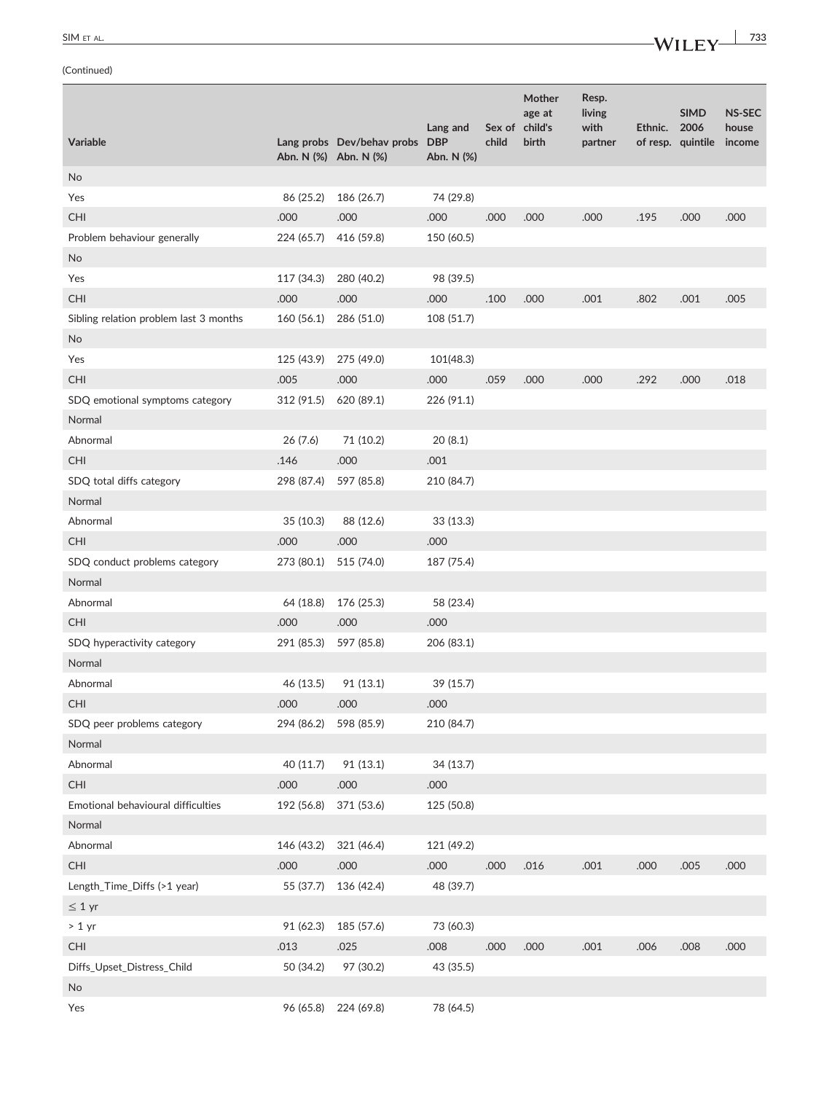| SIM ET AL. | $-MII$ EV | 733 |
|------------|-----------|-----|
|            | ----      |     |

|                                        |                       |                                |            |        | Mother            | Resp.          |         |                          |                 |
|----------------------------------------|-----------------------|--------------------------------|------------|--------|-------------------|----------------|---------|--------------------------|-----------------|
|                                        |                       |                                | Lang and   | Sex of | age at<br>child's | living<br>with | Ethnic. | <b>SIMD</b><br>2006      | NS-SEC<br>house |
| Variable                               | Abn. N (%) Abn. N (%) | Lang probs Dev/behav probs DBP | Abn. N (%) | child  | birth             | partner        |         | of resp. quintile income |                 |
| No                                     |                       |                                |            |        |                   |                |         |                          |                 |
| Yes                                    | 86 (25.2)             | 186 (26.7)                     | 74 (29.8)  |        |                   |                |         |                          |                 |
| CHI                                    | .000                  | .000                           | .000       | .000   | .000              | .000           | .195    | .000                     | .000            |
| Problem behaviour generally            | 224 (65.7)            | 416 (59.8)                     | 150 (60.5) |        |                   |                |         |                          |                 |
| No                                     |                       |                                |            |        |                   |                |         |                          |                 |
| Yes                                    | 117 (34.3)            | 280 (40.2)                     | 98 (39.5)  |        |                   |                |         |                          |                 |
| <b>CHI</b>                             | .000                  | .000                           | .000       | .100   | .000              | .001           | .802    | .001                     | .005            |
| Sibling relation problem last 3 months | 160 (56.1)            | 286 (51.0)                     | 108 (51.7) |        |                   |                |         |                          |                 |
| No                                     |                       |                                |            |        |                   |                |         |                          |                 |
| Yes                                    | 125 (43.9)            | 275 (49.0)                     | 101(48.3)  |        |                   |                |         |                          |                 |
| <b>CHI</b>                             | .005                  | .000                           | .000       | .059   | .000              | .000           | .292    | .000                     | .018            |
| SDQ emotional symptoms category        | 312 (91.5)            | 620 (89.1)                     | 226 (91.1) |        |                   |                |         |                          |                 |
| Normal                                 |                       |                                |            |        |                   |                |         |                          |                 |
| Abnormal                               | 26 (7.6)              | 71 (10.2)                      | 20(8.1)    |        |                   |                |         |                          |                 |
| CHI                                    | .146                  | .000                           | .001       |        |                   |                |         |                          |                 |
| SDQ total diffs category               | 298 (87.4)            | 597 (85.8)                     | 210 (84.7) |        |                   |                |         |                          |                 |
| Normal                                 |                       |                                |            |        |                   |                |         |                          |                 |
| Abnormal                               | 35 (10.3)             | 88 (12.6)                      | 33 (13.3)  |        |                   |                |         |                          |                 |
| <b>CHI</b>                             | .000                  | .000                           | .000       |        |                   |                |         |                          |                 |
| SDQ conduct problems category          | 273 (80.1)            | 515 (74.0)                     | 187 (75.4) |        |                   |                |         |                          |                 |
| Normal                                 |                       |                                |            |        |                   |                |         |                          |                 |
| Abnormal                               | 64 (18.8)             | 176 (25.3)                     | 58 (23.4)  |        |                   |                |         |                          |                 |
| <b>CHI</b>                             | .000                  | .000                           | .000       |        |                   |                |         |                          |                 |
| SDQ hyperactivity category             | 291 (85.3)            | 597 (85.8)                     | 206 (83.1) |        |                   |                |         |                          |                 |
| Normal                                 |                       |                                |            |        |                   |                |         |                          |                 |
| Abnormal                               | 46 (13.5)             | 91 (13.1)                      | 39 (15.7)  |        |                   |                |         |                          |                 |
| <b>CHI</b>                             | .000                  | .000                           | .000       |        |                   |                |         |                          |                 |
| SDQ peer problems category             | 294 (86.2) 598 (85.9) |                                | 210 (84.7) |        |                   |                |         |                          |                 |
| Normal                                 |                       |                                |            |        |                   |                |         |                          |                 |
| Abnormal                               | 40 (11.7)             | 91 (13.1)                      | 34 (13.7)  |        |                   |                |         |                          |                 |
| CHI                                    | .000                  | .000                           | .000       |        |                   |                |         |                          |                 |
| Emotional behavioural difficulties     | 192 (56.8)            | 371 (53.6)                     | 125 (50.8) |        |                   |                |         |                          |                 |
| Normal                                 |                       |                                |            |        |                   |                |         |                          |                 |
| Abnormal                               | 146 (43.2)            | 321 (46.4)                     | 121 (49.2) |        |                   |                |         |                          |                 |
| CHI                                    | .000                  | .000                           | .000       | .000   | .016              | .001           | .000    | .005                     | .000            |
| Length_Time_Diffs (>1 year)            | 55 (37.7)             | 136 (42.4)                     | 48 (39.7)  |        |                   |                |         |                          |                 |
| $\leq 1$ yr                            |                       |                                |            |        |                   |                |         |                          |                 |
| $> 1$ yr                               | 91 (62.3)             | 185 (57.6)                     | 73 (60.3)  |        |                   |                |         |                          |                 |
| CHI                                    | .013                  | .025                           | .008       | .000   | .000              | .001           | .006    | .008                     | .000            |
| Diffs_Upset_Distress_Child             | 50 (34.2)             | 97 (30.2)                      | 43 (35.5)  |        |                   |                |         |                          |                 |
| No                                     |                       |                                |            |        |                   |                |         |                          |                 |
| Yes                                    | 96 (65.8)             | 224 (69.8)                     | 78 (64.5)  |        |                   |                |         |                          |                 |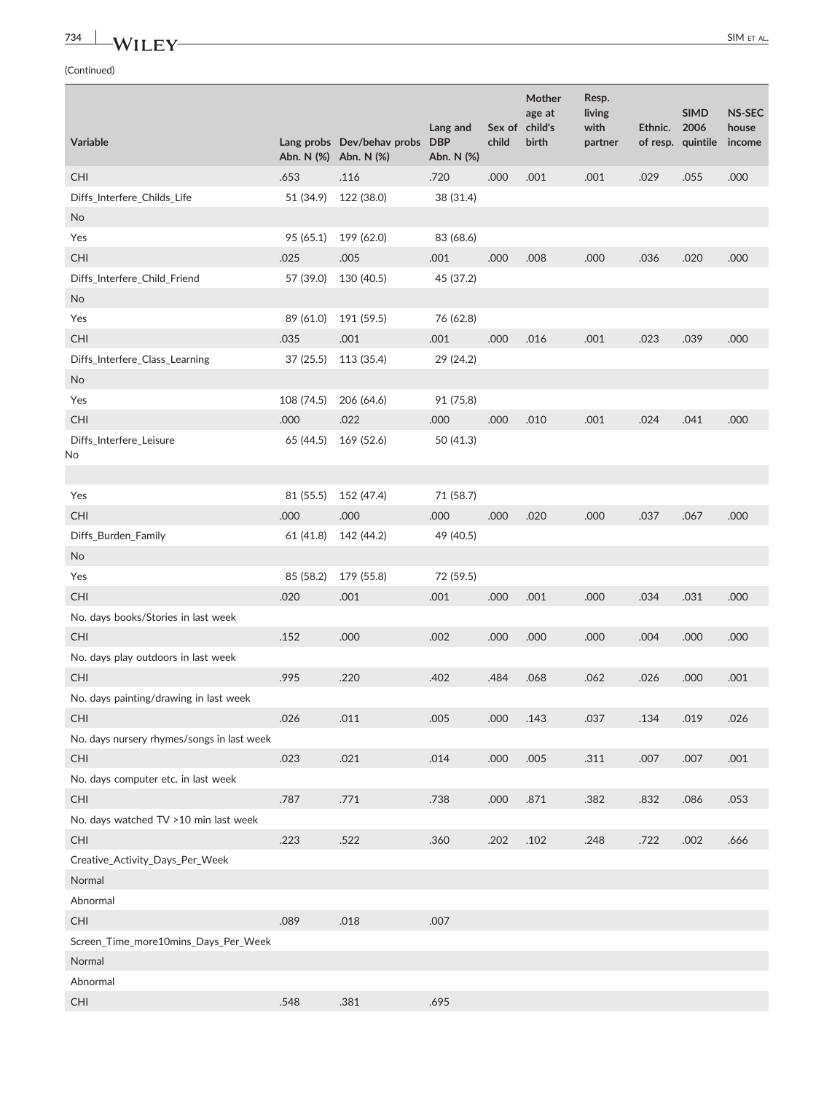# **734 WILEY** SIM ET AL.

|                                            |            |                                                     | Lang and                 |       | Mother<br>age at<br>Sex of child's | Resp.<br>living<br>with | Ethnic. | <b>SIMD</b><br>2006 | <b>NS-SEC</b><br>house |
|--------------------------------------------|------------|-----------------------------------------------------|--------------------------|-------|------------------------------------|-------------------------|---------|---------------------|------------------------|
| Variable                                   |            | Lang probs Dev/behav probs<br>Abn. N (%) Abn. N (%) | <b>DBP</b><br>Abn. N (%) | child | birth                              | partner                 |         | of resp. quintile   | income                 |
| CHI                                        | .653       | .116                                                | .720                     | .000  | .001                               | .001                    | .029    | .055                | .000                   |
| Diffs_Interfere_Childs_Life                | 51 (34.9)  | 122 (38.0)                                          | 38 (31.4)                |       |                                    |                         |         |                     |                        |
| No                                         |            |                                                     |                          |       |                                    |                         |         |                     |                        |
| Yes                                        | 95 (65.1)  | 199 (62.0)                                          | 83 (68.6)                |       |                                    |                         |         |                     |                        |
| <b>CHI</b>                                 | .025       | .005                                                | .001                     | .000  | .008                               | .000                    | .036    | .020                | .000                   |
| Diffs_Interfere_Child_Friend               | 57 (39.0)  | 130 (40.5)                                          | 45 (37.2)                |       |                                    |                         |         |                     |                        |
| No                                         |            |                                                     |                          |       |                                    |                         |         |                     |                        |
| Yes                                        | 89 (61.0)  | 191 (59.5)                                          | 76 (62.8)                |       |                                    |                         |         |                     |                        |
| <b>CHI</b>                                 | .035       | .001                                                | .001                     | .000  | .016                               | .001                    | .023    | .039                | .000                   |
| Diffs_Interfere_Class_Learning             | 37(25.5)   | 113 (35.4)                                          | 29 (24.2)                |       |                                    |                         |         |                     |                        |
| <b>No</b>                                  |            |                                                     |                          |       |                                    |                         |         |                     |                        |
| Yes                                        | 108 (74.5) | 206 (64.6)                                          | 91 (75.8)                |       |                                    |                         |         |                     |                        |
| CHI                                        | .000       | .022                                                | .000                     | .000  | .010                               | .001                    | .024    | .041                | .000                   |
| Diffs_Interfere_Leisure                    | 65 (44.5)  | 169 (52.6)                                          | 50 (41.3)                |       |                                    |                         |         |                     |                        |
| No                                         |            |                                                     |                          |       |                                    |                         |         |                     |                        |
| Yes                                        | 81 (55.5)  | 152 (47.4)                                          | 71 (58.7)                |       |                                    |                         |         |                     |                        |
| <b>CHI</b>                                 | .000       | .000                                                | .000                     | .000  | .020                               | .000                    | .037    | .067                | .000                   |
| Diffs_Burden_Family                        | 61 (41.8)  | 142 (44.2)                                          | 49 (40.5)                |       |                                    |                         |         |                     |                        |
| <b>No</b>                                  |            |                                                     |                          |       |                                    |                         |         |                     |                        |
| Yes                                        | 85 (58.2)  | 179 (55.8)                                          | 72 (59.5)                |       |                                    |                         |         |                     |                        |
| <b>CHI</b>                                 | .020       | .001                                                | .001                     | .000  | .001                               | .000                    | .034    | .031                | .000                   |
|                                            |            |                                                     |                          |       |                                    |                         |         |                     |                        |
| No. days books/Stories in last week<br>CHI | .152       | .000                                                | .002                     | .000  | .000                               | .000                    | .004    | .000                | .000                   |
| No. days play outdoors in last week        |            |                                                     |                          |       |                                    |                         |         |                     |                        |
|                                            |            |                                                     |                          |       |                                    |                         |         |                     |                        |
| <b>CHI</b>                                 | .995       | .220                                                | .402                     | .484  | .068                               | .062                    | .026    | .000                | .001                   |
| No. days painting/drawing in last week     |            |                                                     |                          |       |                                    |                         |         |                     |                        |
| <b>CHI</b>                                 | .026       | .011                                                | .005                     | .000  | .143                               | .037                    | .134    | .019                | .026                   |
| No. days nursery rhymes/songs in last week |            |                                                     |                          |       |                                    |                         |         |                     |                        |
| CHI                                        | .023       | .021                                                | .014                     | .000  | .005                               | .311                    | .007    | .007                | .001                   |
| No. days computer etc. in last week        |            |                                                     |                          |       |                                    |                         |         |                     |                        |
| CHI                                        | .787       | .771                                                | .738                     | .000  | .871                               | .382                    | .832    | .086                | .053                   |
| No. days watched TV >10 min last week      |            |                                                     |                          |       |                                    |                         |         |                     |                        |
| CHI                                        | .223       | .522                                                | .360                     | .202  | .102                               | .248                    | .722    | .002                | .666                   |
| Creative_Activity_Days_Per_Week            |            |                                                     |                          |       |                                    |                         |         |                     |                        |
| Normal                                     |            |                                                     |                          |       |                                    |                         |         |                     |                        |
| Abnormal                                   |            |                                                     |                          |       |                                    |                         |         |                     |                        |
| CHI                                        | .089       | .018                                                | .007                     |       |                                    |                         |         |                     |                        |
| Screen_Time_more10mins_Days_Per_Week       |            |                                                     |                          |       |                                    |                         |         |                     |                        |
| Normal                                     |            |                                                     |                          |       |                                    |                         |         |                     |                        |
| Abnormal                                   |            |                                                     |                          |       |                                    |                         |         |                     |                        |
| $\mathsf{CHI}$                             | .548       | .381                                                | .695                     |       |                                    |                         |         |                     |                        |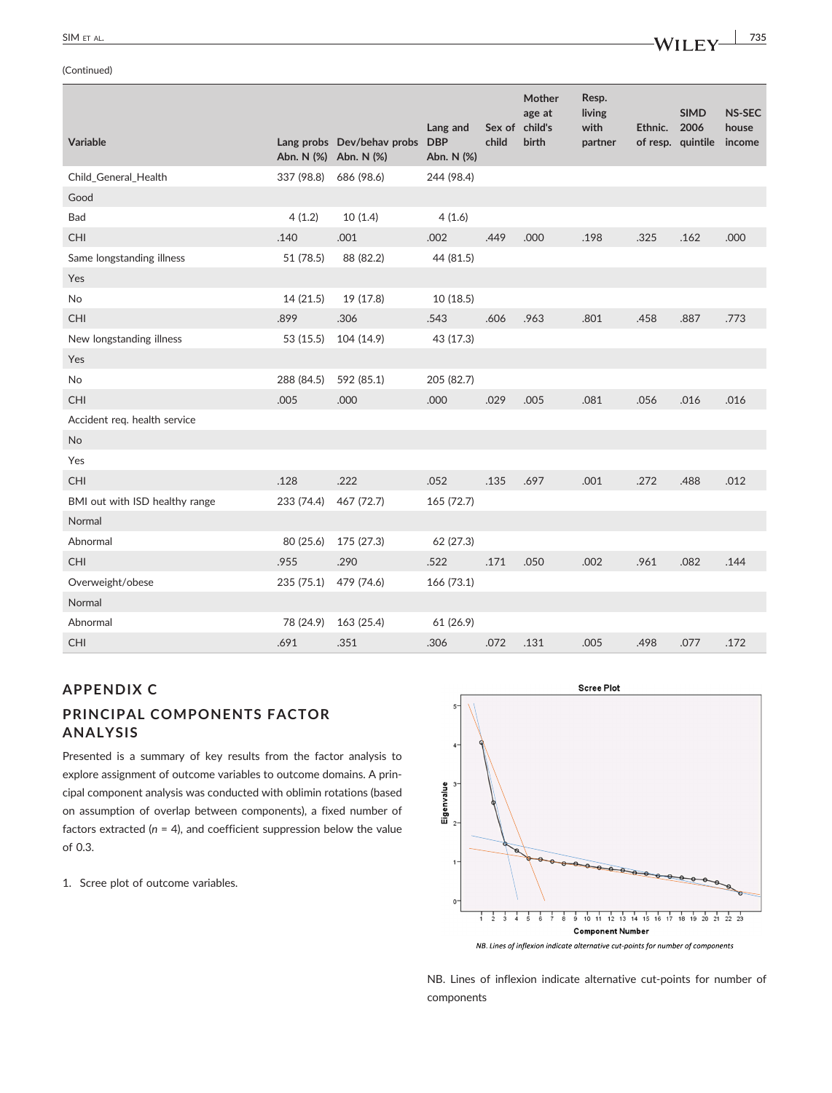# **SIM ET AL. 1998**

(Continued)

| Continued)                  |                       |                            |                                      |                 |                                      |                                    |         |                                          |                                  |
|-----------------------------|-----------------------|----------------------------|--------------------------------------|-----------------|--------------------------------------|------------------------------------|---------|------------------------------------------|----------------------------------|
| <b>Variable</b>             | Abn. N (%) Abn. N (%) | Lang probs Dev/behav probs | Lang and<br><b>DBP</b><br>Abn. N (%) | Sex of<br>child | Mother<br>age at<br>child's<br>birth | Resp.<br>living<br>with<br>partner | Ethnic. | <b>SIMD</b><br>2006<br>of resp. quintile | <b>NS-SEC</b><br>house<br>income |
| Child_General_Health        | 337 (98.8)            | 686 (98.6)                 | 244 (98.4)                           |                 |                                      |                                    |         |                                          |                                  |
| Good                        |                       |                            |                                      |                 |                                      |                                    |         |                                          |                                  |
| Bad                         | 4(1.2)                | 10(1.4)                    | 4(1.6)                               |                 |                                      |                                    |         |                                          |                                  |
| <b>CHI</b>                  | .140                  | .001                       | .002                                 | .449            | .000                                 | .198                               | .325    | .162                                     | .000                             |
| Same longstanding illness   | 51 (78.5)             | 88 (82.2)                  | 44 (81.5)                            |                 |                                      |                                    |         |                                          |                                  |
| Yes                         |                       |                            |                                      |                 |                                      |                                    |         |                                          |                                  |
| <b>No</b>                   | 14 (21.5)             | 19 (17.8)                  | 10(18.5)                             |                 |                                      |                                    |         |                                          |                                  |
| <b>CHI</b>                  | .899                  | .306                       | .543                                 | .606            | .963                                 | .801                               | .458    | .887                                     | .773                             |
| New longstanding illness    | 53 (15.5)             | 104 (14.9)                 | 43 (17.3)                            |                 |                                      |                                    |         |                                          |                                  |
| Yes                         |                       |                            |                                      |                 |                                      |                                    |         |                                          |                                  |
| No                          | 288 (84.5)            | 592 (85.1)                 | 205 (82.7)                           |                 |                                      |                                    |         |                                          |                                  |
| <b>CHI</b>                  | .005                  | .000                       | .000                                 | .029            | .005                                 | .081                               | .056    | .016                                     | .016                             |
| Accident reg health censice |                       |                            |                                      |                 |                                      |                                    |         |                                          |                                  |

Accident req. health service

| <b>No</b>                      |            |            |            |      |      |      |      |      |      |
|--------------------------------|------------|------------|------------|------|------|------|------|------|------|
| Yes                            |            |            |            |      |      |      |      |      |      |
| <b>CHI</b>                     | .128       | .222       | .052       | .135 | .697 | .001 | .272 | .488 | .012 |
| BMI out with ISD healthy range | 233 (74.4) | 467 (72.7) | 165(72.7)  |      |      |      |      |      |      |
| Normal                         |            |            |            |      |      |      |      |      |      |
| Abnormal                       | 80 (25.6)  | 175 (27.3) | 62 (27.3)  |      |      |      |      |      |      |
| <b>CHI</b>                     | .955       | .290       | .522       | .171 | .050 | .002 | .961 | .082 | .144 |
| Overweight/obese               | 235 (75.1) | 479 (74.6) | 166 (73.1) |      |      |      |      |      |      |
| Normal                         |            |            |            |      |      |      |      |      |      |
| Abnormal                       | 78 (24.9)  | 163 (25.4) | 61 (26.9)  |      |      |      |      |      |      |
| <b>CHI</b>                     | .691       | .351       | .306       | .072 | .131 | .005 | .498 | .077 | .172 |

# **APPENDIX C**

# **PRINCIPAL COMPONENTS FACTOR ANALYSIS**

Presented is a summary of key results from the factor analysis to explore assignment of outcome variables to outcome domains. A principal component analysis was conducted with oblimin rotations (based on assumption of overlap between components), a fixed number of factors extracted  $(n = 4)$ , and coefficient suppression below the value of 0.3.

1. Scree plot of outcome variables.



NB. Lines of inflexion indicate alternative cut-points for number of components